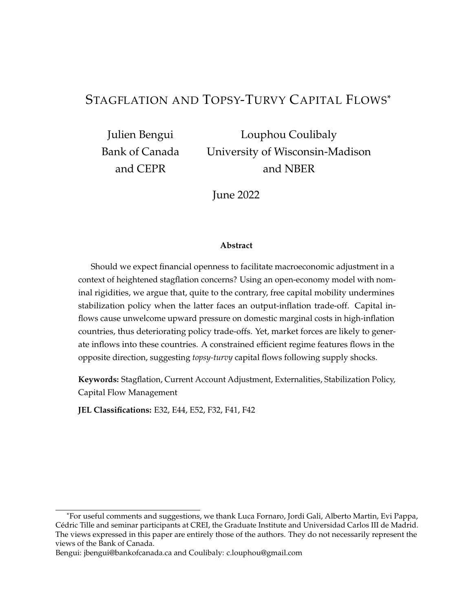## STAGFLATION AND TOPSY-TURVY CAPITAL FLOWS\*

Julien Bengui Bank of Canada and CEPR

Louphou Coulibaly University of Wisconsin-Madison and NBER

June 2022

#### **Abstract**

Should we expect financial openness to facilitate macroeconomic adjustment in a context of heightened stagflation concerns? Using an open-economy model with nominal rigidities, we argue that, quite to the contrary, free capital mobility undermines stabilization policy when the latter faces an output-inflation trade-off. Capital inflows cause unwelcome upward pressure on domestic marginal costs in high-inflation countries, thus deteriorating policy trade-offs. Yet, market forces are likely to generate inflows into these countries. A constrained efficient regime features flows in the opposite direction, suggesting *topsy-turvy* capital flows following supply shocks.

**Keywords:** Stagflation, Current Account Adjustment, Externalities, Stabilization Policy, Capital Flow Management

**JEL Classifications:** E32, E44, E52, F32, F41, F42

<sup>\*</sup>For useful comments and suggestions, we thank Luca Fornaro, Jordi Gali, Alberto Martin, Evi Pappa, Cedric Tille and seminar participants at CREI, the Graduate Institute and Universidad Carlos III de Madrid. ´ The views expressed in this paper are entirely those of the authors. They do not necessarily represent the views of the Bank of Canada.

Bengui: jbengui@bankofcanada.ca and Coulibaly: c.louphou@gmail.com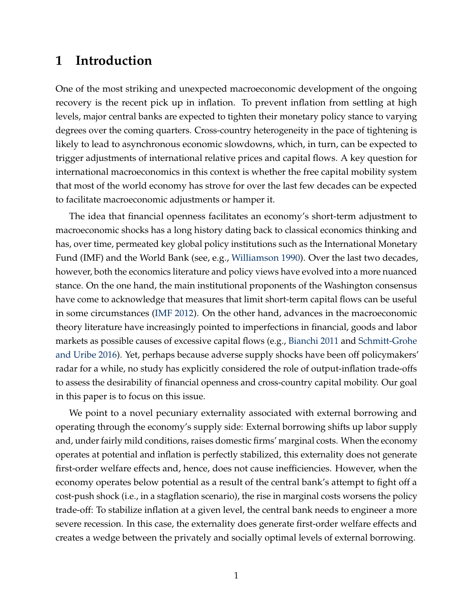# **1 Introduction**

One of the most striking and unexpected macroeconomic development of the ongoing recovery is the recent pick up in inflation. To prevent inflation from settling at high levels, major central banks are expected to tighten their monetary policy stance to varying degrees over the coming quarters. Cross-country heterogeneity in the pace of tightening is likely to lead to asynchronous economic slowdowns, which, in turn, can be expected to trigger adjustments of international relative prices and capital flows. A key question for international macroeconomics in this context is whether the free capital mobility system that most of the world economy has strove for over the last few decades can be expected to facilitate macroeconomic adjustments or hamper it.

The idea that financial openness facilitates an economy's short-term adjustment to macroeconomic shocks has a long history dating back to classical economics thinking and has, over time, permeated key global policy institutions such as the International Monetary Fund (IMF) and the World Bank (see, e.g., [Williamson](#page-32-0) [1990\)](#page-32-0). Over the last two decades, however, both the economics literature and policy views have evolved into a more nuanced stance. On the one hand, the main institutional proponents of the Washington consensus have come to acknowledge that measures that limit short-term capital flows can be useful in some circumstances [\(IMF](#page-31-0) [2012\)](#page-31-0). On the other hand, advances in the macroeconomic theory literature have increasingly pointed to imperfections in financial, goods and labor markets as possible causes of excessive capital flows (e.g., [Bianchi](#page-29-0) [2011](#page-29-0) and [Schmitt-Grohe](#page-31-1) [and Uribe](#page-31-1) [2016\)](#page-31-1). Yet, perhaps because adverse supply shocks have been off policymakers' radar for a while, no study has explicitly considered the role of output-inflation trade-offs to assess the desirability of financial openness and cross-country capital mobility. Our goal in this paper is to focus on this issue.

We point to a novel pecuniary externality associated with external borrowing and operating through the economy's supply side: External borrowing shifts up labor supply and, under fairly mild conditions, raises domestic firms' marginal costs. When the economy operates at potential and inflation is perfectly stabilized, this externality does not generate first-order welfare effects and, hence, does not cause inefficiencies. However, when the economy operates below potential as a result of the central bank's attempt to fight off a cost-push shock (i.e., in a stagflation scenario), the rise in marginal costs worsens the policy trade-off: To stabilize inflation at a given level, the central bank needs to engineer a more severe recession. In this case, the externality does generate first-order welfare effects and creates a wedge between the privately and socially optimal levels of external borrowing.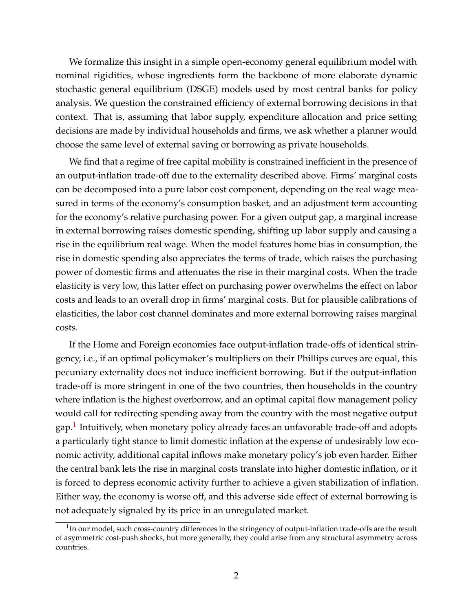We formalize this insight in a simple open-economy general equilibrium model with nominal rigidities, whose ingredients form the backbone of more elaborate dynamic stochastic general equilibrium (DSGE) models used by most central banks for policy analysis. We question the constrained efficiency of external borrowing decisions in that context. That is, assuming that labor supply, expenditure allocation and price setting decisions are made by individual households and firms, we ask whether a planner would choose the same level of external saving or borrowing as private households.

We find that a regime of free capital mobility is constrained inefficient in the presence of an output-inflation trade-off due to the externality described above. Firms' marginal costs can be decomposed into a pure labor cost component, depending on the real wage measured in terms of the economy's consumption basket, and an adjustment term accounting for the economy's relative purchasing power. For a given output gap, a marginal increase in external borrowing raises domestic spending, shifting up labor supply and causing a rise in the equilibrium real wage. When the model features home bias in consumption, the rise in domestic spending also appreciates the terms of trade, which raises the purchasing power of domestic firms and attenuates the rise in their marginal costs. When the trade elasticity is very low, this latter effect on purchasing power overwhelms the effect on labor costs and leads to an overall drop in firms' marginal costs. But for plausible calibrations of elasticities, the labor cost channel dominates and more external borrowing raises marginal costs.

If the Home and Foreign economies face output-inflation trade-offs of identical stringency, i.e., if an optimal policymaker's multipliers on their Phillips curves are equal, this pecuniary externality does not induce inefficient borrowing. But if the output-inflation trade-off is more stringent in one of the two countries, then households in the country where inflation is the highest overborrow, and an optimal capital flow management policy would call for redirecting spending away from the country with the most negative output gap.<sup>[1](#page-2-0)</sup> Intuitively, when monetary policy already faces an unfavorable trade-off and adopts a particularly tight stance to limit domestic inflation at the expense of undesirably low economic activity, additional capital inflows make monetary policy's job even harder. Either the central bank lets the rise in marginal costs translate into higher domestic inflation, or it is forced to depress economic activity further to achieve a given stabilization of inflation. Either way, the economy is worse off, and this adverse side effect of external borrowing is not adequately signaled by its price in an unregulated market.

<span id="page-2-0"></span> $1$ In our model, such cross-country differences in the stringency of output-inflation trade-offs are the result of asymmetric cost-push shocks, but more generally, they could arise from any structural asymmetry across countries.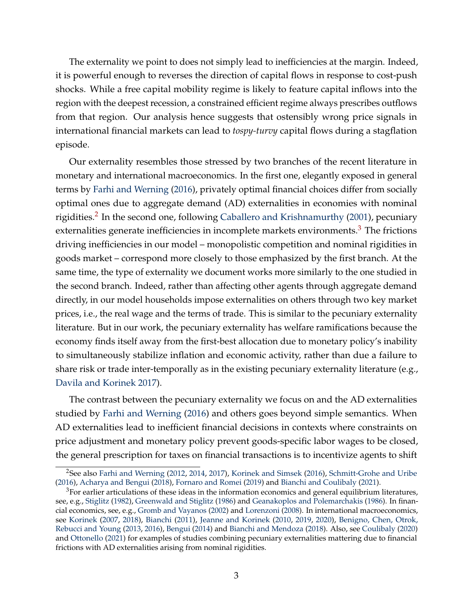The externality we point to does not simply lead to inefficiencies at the margin. Indeed, it is powerful enough to reverses the direction of capital flows in response to cost-push shocks. While a free capital mobility regime is likely to feature capital inflows into the region with the deepest recession, a constrained efficient regime always prescribes outflows from that region. Our analysis hence suggests that ostensibly wrong price signals in international financial markets can lead to *tospy-turvy* capital flows during a stagflation episode.

Our externality resembles those stressed by two branches of the recent literature in monetary and international macroeconomics. In the first one, elegantly exposed in general terms by [Farhi and Werning](#page-30-0) [\(2016\)](#page-30-0), privately optimal financial choices differ from socially optimal ones due to aggregate demand (AD) externalities in economies with nominal rigidities.<sup>[2](#page-3-0)</sup> In the second one, following [Caballero and Krishnamurthy](#page-29-1) [\(2001\)](#page-29-1), pecuniary externalities generate inefficiencies in incomplete markets environments. $3$  The frictions driving inefficiencies in our model – monopolistic competition and nominal rigidities in goods market – correspond more closely to those emphasized by the first branch. At the same time, the type of externality we document works more similarly to the one studied in the second branch. Indeed, rather than affecting other agents through aggregate demand directly, in our model households impose externalities on others through two key market prices, i.e., the real wage and the terms of trade. This is similar to the pecuniary externality literature. But in our work, the pecuniary externality has welfare ramifications because the economy finds itself away from the first-best allocation due to monetary policy's inability to simultaneously stabilize inflation and economic activity, rather than due a failure to share risk or trade inter-temporally as in the existing pecuniary externality literature (e.g., [Davila and Korinek](#page-30-1) [2017\)](#page-30-1).

The contrast between the pecuniary externality we focus on and the AD externalities studied by [Farhi and Werning](#page-30-0) [\(2016\)](#page-30-0) and others goes beyond simple semantics. When AD externalities lead to inefficient financial decisions in contexts where constraints on price adjustment and monetary policy prevent goods-specific labor wages to be closed, the general prescription for taxes on financial transactions is to incentivize agents to shift

<span id="page-3-0"></span><sup>2</sup>See also [Farhi and Werning](#page-30-2) [\(2012,](#page-30-2) [2014,](#page-30-3) [2017\)](#page-30-4), [Korinek and Simsek](#page-31-2) [\(2016\)](#page-31-2), [Schmitt-Grohe and Uribe](#page-31-1) [\(2016\)](#page-31-1), [Acharya and Bengui](#page-29-2) [\(2018\)](#page-29-2), [Fornaro and Romei](#page-30-5) [\(2019\)](#page-30-5) and [Bianchi and Coulibaly](#page-29-3) [\(2021\)](#page-29-3).

<span id="page-3-1"></span> $3$ For earlier articulations of these ideas in the information economics and general equilibrium literatures, see, e.g., [Stiglitz](#page-32-1) [\(1982\)](#page-32-1), [Greenwald and Stiglitz](#page-31-3) [\(1986\)](#page-31-3) and [Geanakoplos and Polemarchakis](#page-30-6) [\(1986\)](#page-30-6). In financial economics, see, e.g., [Gromb and Vayanos](#page-31-4) [\(2002\)](#page-31-4) and [Lorenzoni](#page-31-5) [\(2008\)](#page-31-5). In international macroeconomics, see [Korinek](#page-31-6) [\(2007,](#page-31-6) [2018\)](#page-31-7), [Bianchi](#page-29-0) [\(2011\)](#page-29-0), [Jeanne and Korinek](#page-31-8) [\(2010,](#page-31-8) [2019,](#page-31-9) [2020\)](#page-31-10), [Benigno, Chen, Otrok,](#page-29-4) [Rebucci and Young](#page-29-4) [\(2013,](#page-29-4) [2016\)](#page-29-5), [Bengui](#page-29-6) [\(2014\)](#page-29-6) and [Bianchi and Mendoza](#page-29-7) [\(2018\)](#page-29-7). Also, see [Coulibaly](#page-30-7) [\(2020\)](#page-30-7) and [Ottonello](#page-31-11) [\(2021\)](#page-31-11) for examples of studies combining pecuniary externalities mattering due to financial frictions with AD externalities arising from nominal rigidities.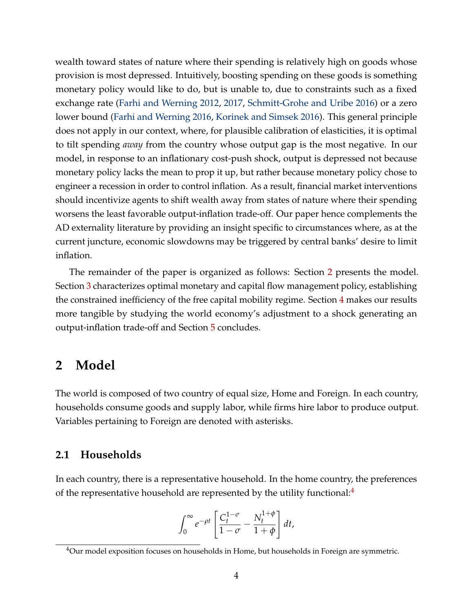wealth toward states of nature where their spending is relatively high on goods whose provision is most depressed. Intuitively, boosting spending on these goods is something monetary policy would like to do, but is unable to, due to constraints such as a fixed exchange rate [\(Farhi and Werning](#page-30-2) [2012,](#page-30-2) [2017,](#page-30-4) [Schmitt-Grohe and Uribe](#page-31-1) [2016\)](#page-31-1) or a zero lower bound [\(Farhi and Werning](#page-30-0) [2016,](#page-30-0) [Korinek and Simsek](#page-31-2) [2016\)](#page-31-2). This general principle does not apply in our context, where, for plausible calibration of elasticities, it is optimal to tilt spending *away* from the country whose output gap is the most negative. In our model, in response to an inflationary cost-push shock, output is depressed not because monetary policy lacks the mean to prop it up, but rather because monetary policy chose to engineer a recession in order to control inflation. As a result, financial market interventions should incentivize agents to shift wealth away from states of nature where their spending worsens the least favorable output-inflation trade-off. Our paper hence complements the AD externality literature by providing an insight specific to circumstances where, as at the current juncture, economic slowdowns may be triggered by central banks' desire to limit inflation.

The remainder of the paper is organized as follows: Section [2](#page-4-0) presents the model. Section [3](#page-12-0) characterizes optimal monetary and capital flow management policy, establishing the constrained inefficiency of the free capital mobility regime. Section [4](#page-21-0) makes our results more tangible by studying the world economy's adjustment to a shock generating an output-inflation trade-off and Section [5](#page-28-0) concludes.

## <span id="page-4-0"></span>**2 Model**

The world is composed of two country of equal size, Home and Foreign. In each country, households consume goods and supply labor, while firms hire labor to produce output. Variables pertaining to Foreign are denoted with asterisks.

## **2.1 Households**

In each country, there is a representative household. In the home country, the preferences of the representative household are represented by the utility functional: $4$ 

$$
\int_0^\infty e^{-\rho t} \left[ \frac{C_t^{1-\sigma}}{1-\sigma} - \frac{N_t^{1+\phi}}{1+\phi} \right] dt,
$$

<span id="page-4-1"></span> $4$ Our model exposition focuses on households in Home, but households in Foreign are symmetric.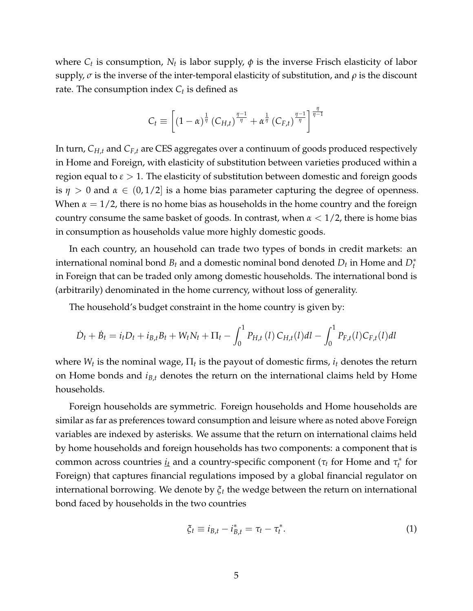where  $C_t$  is consumption,  $N_t$  is labor supply,  $\phi$  is the inverse Frisch elasticity of labor supply, *σ* is the inverse of the inter-temporal elasticity of substitution, and *ρ* is the discount rate. The consumption index *C<sup>t</sup>* is defined as

$$
C_t \equiv \left[ (1 - \alpha)^{\frac{1}{\eta}} \left( C_{H,t} \right)^{\frac{\eta - 1}{\eta}} + \alpha^{\frac{1}{\eta}} \left( C_{F,t} \right)^{\frac{\eta - 1}{\eta}} \right]^{\frac{\eta}{\eta - 1}}
$$

In turn, *CH*,*<sup>t</sup>* and *CF*,*<sup>t</sup>* are CES aggregates over a continuum of goods produced respectively in Home and Foreign, with elasticity of substitution between varieties produced within a region equal to  $\varepsilon > 1$ . The elasticity of substitution between domestic and foreign goods is  $\eta > 0$  and  $\alpha \in (0, 1/2]$  is a home bias parameter capturing the degree of openness. When  $\alpha = 1/2$ , there is no home bias as households in the home country and the foreign country consume the same basket of goods. In contrast, when *α* < 1/2, there is home bias in consumption as households value more highly domestic goods.

In each country, an household can trade two types of bonds in credit markets: an international nominal bond  $B_t$  and a domestic nominal bond denoted  $D_t$  in Home and  $D_t^*$ in Foreign that can be traded only among domestic households. The international bond is (arbitrarily) denominated in the home currency, without loss of generality.

The household's budget constraint in the home country is given by:

$$
\dot{D}_t + \dot{B}_t = i_t D_t + i_{B,t} B_t + W_t N_t + \Pi_t - \int_0^1 P_{H,t}(l) C_{H,t}(l) dl - \int_0^1 P_{F,t}(l) C_{F,t}(l) dl
$$

where  $W_t$  is the nominal wage,  $\Pi_t$  is the payout of domestic firms,  $i_t$  denotes the return on Home bonds and *iB*,*<sup>t</sup>* denotes the return on the international claims held by Home households.

Foreign households are symmetric. Foreign households and Home households are similar as far as preferences toward consumption and leisure where as noted above Foreign variables are indexed by asterisks. We assume that the return on international claims held by home households and foreign households has two components: a component that is common across countries  $i_t$  and a country-specific component (τ<sub>*t*</sub> for Home and τ<sup>\*</sup><sub>*t*</sub> *t* for Foreign) that captures financial regulations imposed by a global financial regulator on international borrowing. We denote by *ξ<sup>t</sup>* the wedge between the return on international bond faced by households in the two countries

$$
\xi_t \equiv i_{B,t} - i_{B,t}^* = \tau_t - \tau_t^*.
$$
\n<sup>(1)</sup>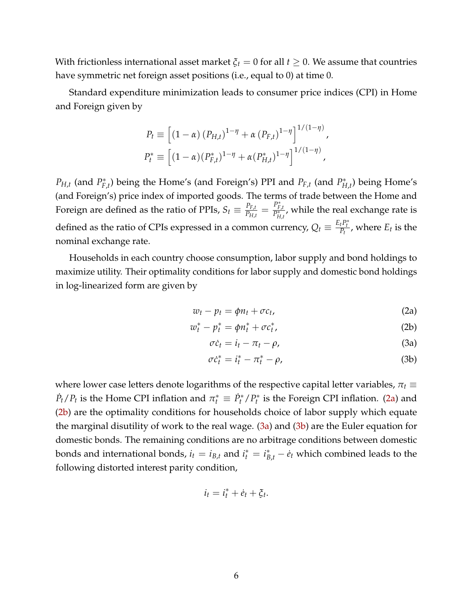With frictionless international asset market  $\xi_t = 0$  for all  $t \geq 0$ . We assume that countries have symmetric net foreign asset positions (i.e., equal to 0) at time 0.

Standard expenditure minimization leads to consumer price indices (CPI) in Home and Foreign given by

$$
P_t \equiv \left[ (1 - \alpha) (P_{H,t})^{1 - \eta} + \alpha (P_{F,t})^{1 - \eta} \right]^{1/(1 - \eta)},
$$
  

$$
P_t^* \equiv \left[ (1 - \alpha) (P_{F,t}^*)^{1 - \eta} + \alpha (P_{H,t}^*)^{1 - \eta} \right]^{1/(1 - \eta)},
$$

 $P_{H,t}$  (and  $P_F^*$  $F_{f,t}$ ) being the Home's (and Foreign's) PPI and  $P_{F,t}$  (and  $P_{H}^*$ )  $H_{H,t}^*$ ) being Home's (and Foreign's) price index of imported goods. The terms of trade between the Home and Foreign are defined as the ratio of PPIs,  $S_t \equiv \frac{P_{F,t}}{P_{H,t}}$  $\frac{P_{F,t}}{P_{H,t}} = \frac{P_{F,t}^*}{P_{H,t}^*}$ , while the real exchange rate is defined as the ratio of CPIs expressed in a common currency,  $Q_t \equiv \frac{E_t P_t^*}{P_t}$ , where  $E_t$  is the nominal exchange rate.

Households in each country choose consumption, labor supply and bond holdings to maximize utility. Their optimality conditions for labor supply and domestic bond holdings in log-linearized form are given by

$$
w_t - p_t = \phi n_t + \sigma c_t, \qquad (2a)
$$

$$
w_t^* - p_t^* = \phi n_t^* + \sigma c_t^*,
$$
 (2b)

<span id="page-6-3"></span><span id="page-6-2"></span><span id="page-6-1"></span><span id="page-6-0"></span>
$$
\sigma \dot{c}_t = i_t - \pi_t - \rho,\tag{3a}
$$

$$
\sigma \dot{c}_t^* = i_t^* - \pi_t^* - \rho,\tag{3b}
$$

where lower case letters denote logarithms of the respective capital letter variables, *π<sup>t</sup>* ≡  $\dot{P}_t / P_t$  is the Home CPI inflation and  $\pi_t^* \equiv \dot{P}_t^* / P_t^*$ *t* is the Foreign CPI inflation. [\(2a\)](#page-6-0) and [\(2b\)](#page-6-1) are the optimality conditions for households choice of labor supply which equate the marginal disutility of work to the real wage. [\(3a\)](#page-6-2) and [\(3b\)](#page-6-3) are the Euler equation for domestic bonds. The remaining conditions are no arbitrage conditions between domestic bonds and international bonds,  $i_t = i_{B,t}$  and  $i_t^* = i_{B,t}^* - e_t$  which combined leads to the following distorted interest parity condition,

$$
i_t = i_t^* + \dot{e}_t + \xi_t.
$$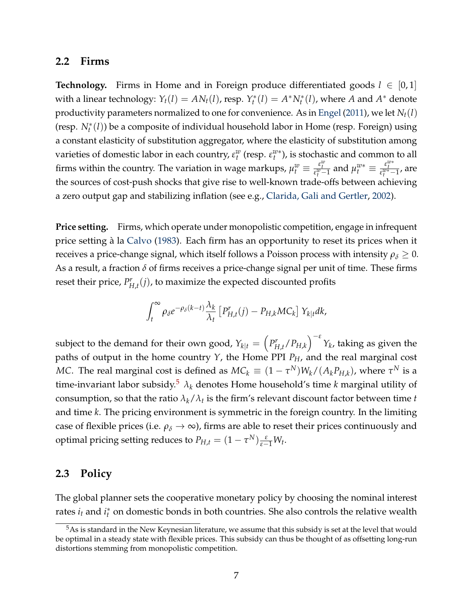#### **2.2 Firms**

**Technology.** Firms in Home and in Foreign produce differentiated goods  $l \in [0,1]$ with a linear technology:  $Y_t(l) = AN_t(l)$ , resp.  $Y_t^*$  $A^*_{t}(l) = A^* N_t^*(l)$ , where *A* and  $A^*$  denote productivity parameters normalized to one for convenience. As in [Engel](#page-30-8) [\(2011\)](#page-30-8), we let *Nt*(*l*) (resp. *N*<sup>∗</sup> *t* (*l*)) be a composite of individual household labor in Home (resp. Foreign) using a constant elasticity of substitution aggregator, where the elasticity of substitution among varieties of domestic labor in each country,  $\varepsilon_t^w$  (resp.  $\varepsilon_t^{w*}$ ), is stochastic and common to all firms within the country. The variation in wage markups,  $\mu_t^w \equiv \frac{\varepsilon_t^w}{\varepsilon_t^{w}-1}$  and  $\mu_t^{w*} \equiv \frac{\varepsilon_t^{w*}}{\varepsilon_t^{w*-1}}$ , are the sources of cost-push shocks that give rise to well-known trade-offs between achieving a zero output gap and stabilizing inflation (see e.g., [Clarida, Gali and Gertler,](#page-29-8) [2002\)](#page-29-8).

Price setting. Firms, which operate under monopolistic competition, engage in infrequent price setting à la [Calvo](#page-29-9) [\(1983\)](#page-29-9). Each firm has an opportunity to reset its prices when it receives a price-change signal, which itself follows a Poisson process with intensity  $\rho_{\delta} \geq 0$ . As a result, a fraction *δ* of firms receives a price-change signal per unit of time. These firms reset their price, *P r*  $H_{H,t}^r(j)$ , to maximize the expected discounted profits

$$
\int_t^{\infty} \rho_{\delta} e^{-\rho_{\delta}(k-t)} \frac{\lambda_k}{\lambda_t} \left[ P_{H,t}^r(j) - P_{H,k} MC_k \right] Y_{k|t} dk,
$$

subject to the demand for their own good,  $Y_{k|t} = \left(P^r_{F}\right)$  $\int_{H,t}^{r}/P_{H,k}\Big)^{-\varepsilon} Y_k$ , taking as given the paths of output in the home country *Y*, the Home PPI *PH*, and the real marginal cost  $MC$ . The real marginal cost is defined as  $MC_k \equiv (1-\tau^N)W_k/(A_kP_{H,k})$ , where  $\tau^N$  is a time-invariant labor subsidy.<sup>[5](#page-7-0)</sup>  $\lambda_k$  denotes Home household's time *k* marginal utility of consumption, so that the ratio  $\lambda_k/\lambda_t$  is the firm's relevant discount factor between time  $t$ and time *k*. The pricing environment is symmetric in the foreign country. In the limiting case of flexible prices (i.e.  $\rho_{\delta} \to \infty$ ), firms are able to reset their prices continuously and optimal pricing setting reduces to  $P_{H,t} = (1 - \tau^N) \frac{\varepsilon}{\varepsilon - 1} W_t$ .

### <span id="page-7-1"></span>**2.3 Policy**

The global planner sets the cooperative monetary policy by choosing the nominal interest rates  $i_t$  and  $i_t^*$ *t* on domestic bonds in both countries. She also controls the relative wealth

<span id="page-7-0"></span> $5As$  is standard in the New Keynesian literature, we assume that this subsidy is set at the level that would be optimal in a steady state with flexible prices. This subsidy can thus be thought of as offsetting long-run distortions stemming from monopolistic competition.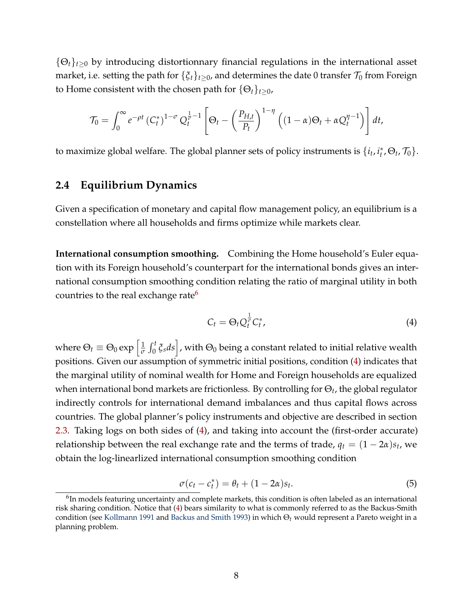{Θ*t*}*t*≥<sup>0</sup> by introducing distortionnary financial regulations in the international asset market, i.e. setting the path for  $\{\xi_t\}_{t>0}$ , and determines the date 0 transfer  $\mathcal{T}_0$  from Foreign to Home consistent with the chosen path for  $\{\Theta_t\}_{t>0}$ ,

$$
\mathcal{T}_0 = \int_0^\infty e^{-\rho t} \left( C_t^* \right)^{1-\sigma} Q_t^{\frac{1}{\sigma}-1} \left[ \Theta_t - \left( \frac{P_{H,t}}{P_t} \right)^{1-\eta} \left( (1-\alpha) \Theta_t + \alpha Q_t^{\eta-1} \right) \right] dt,
$$

to maximize global welfare. The global planner sets of policy instruments is  $\{i_t, i_t^*\}$  $_t^*, \Theta_t$ ,  $\mathcal{T}_0$  }.

## **2.4 Equilibrium Dynamics**

Given a specification of monetary and capital flow management policy, an equilibrium is a constellation where all households and firms optimize while markets clear.

**International consumption smoothing.** Combining the Home household's Euler equation with its Foreign household's counterpart for the international bonds gives an international consumption smoothing condition relating the ratio of marginal utility in both countries to the real exchange rate $6$ 

<span id="page-8-1"></span>
$$
C_t = \Theta_t Q_t^{\frac{1}{\sigma}} C_t^*,\tag{4}
$$

where  $\Theta_t \equiv \Theta_0 \exp \left[ \frac{1}{\sigma} \right]$  $\frac{1}{\sigma}\int_0^t \zeta_s ds\Big]$ , with  $\Theta_0$  being a constant related to initial relative wealth positions. Given our assumption of symmetric initial positions, condition [\(4\)](#page-8-1) indicates that the marginal utility of nominal wealth for Home and Foreign households are equalized when international bond markets are frictionless. By controlling for Θ*<sup>t</sup>* , the global regulator indirectly controls for international demand imbalances and thus capital flows across countries. The global planner's policy instruments and objective are described in section [2.3.](#page-7-1) Taking logs on both sides of [\(4\)](#page-8-1), and taking into account the (first-order accurate) relationship between the real exchange rate and the terms of trade,  $q_t = (1 - 2\alpha)s_t$ , we obtain the log-linearlized international consumption smoothing condition

<span id="page-8-2"></span>
$$
\sigma(c_t - c_t^*) = \theta_t + (1 - 2\alpha)s_t.
$$
\n<sup>(5)</sup>

<span id="page-8-0"></span> $^6$ In models featuring uncertainty and complete markets, this condition is often labeled as an international risk sharing condition. Notice that [\(4\)](#page-8-1) bears similarity to what is commonly referred to as the Backus-Smith condition (see [Kollmann](#page-31-12) [1991](#page-31-12) and [Backus and Smith](#page-29-10) [1993\)](#page-29-10) in which Θ*<sup>t</sup>* would represent a Pareto weight in a planning problem.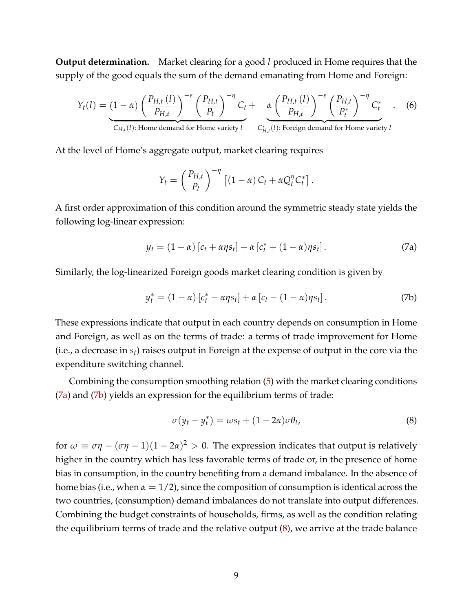**Output determination.** Market clearing for a good *l* produced in Home requires that the supply of the good equals the sum of the demand emanating from Home and Foreign:

$$
Y_{t}(l) = (1 - \alpha) \left(\frac{P_{H,t}(l)}{P_{H,t}}\right)^{-\varepsilon} \left(\frac{P_{H,t}}{P_{t}}\right)^{-\eta} C_{t} + \alpha \left(\frac{P_{H,t}(l)}{P_{H,t}}\right)^{-\varepsilon} \left(\frac{P_{H,t}}{P_{t}^{*}}\right)^{-\eta} C_{t}^{*}.
$$
 (6)  
\n
$$
C_{H,t}(l): \text{Home demand for Home variety } l
$$

At the level of Home's aggregate output, market clearing requires

$$
Y_t = \left(\frac{P_{H,t}}{P_t}\right)^{-\eta} \left[ (1-\alpha) C_t + \alpha Q_t^{\eta} C_t^* \right].
$$

A first order approximation of this condition around the symmetric steady state yields the following log-linear expression:

<span id="page-9-0"></span>
$$
y_t = (1 - \alpha) [c_t + \alpha \eta s_t] + \alpha [c_t^* + (1 - \alpha) \eta s_t]. \tag{7a}
$$

Similarly, the log-linearized Foreign goods market clearing condition is given by

<span id="page-9-1"></span>
$$
y_t^* = (1 - \alpha) [c_t^* - \alpha \eta s_t] + \alpha [c_t - (1 - \alpha) \eta s_t]. \tag{7b}
$$

These expressions indicate that output in each country depends on consumption in Home and Foreign, as well as on the terms of trade: a terms of trade improvement for Home (i.e., a decrease in *st*) raises output in Foreign at the expense of output in the core via the expenditure switching channel.

Combining the consumption smoothing relation [\(5\)](#page-8-2) with the market clearing conditions [\(7a\)](#page-9-0) and [\(7b\)](#page-9-1) yields an expression for the equilibrium terms of trade:

<span id="page-9-2"></span>
$$
\sigma(y_t - y_t^*) = \omega s_t + (1 - 2\alpha)\sigma \theta_t, \tag{8}
$$

for  $\omega \equiv \sigma \eta - (\sigma \eta - 1)(1 - 2\alpha)^2 > 0$ . The expression indicates that output is relatively higher in the country which has less favorable terms of trade or, in the presence of home bias in consumption, in the country benefiting from a demand imbalance. In the absence of home bias (i.e., when  $\alpha = 1/2$ ), since the composition of consumption is identical across the two countries, (consumption) demand imbalances do not translate into output differences. Combining the budget constraints of households, firms, as well as the condition relating the equilibrium terms of trade and the relative output [\(8\)](#page-9-2), we arrive at the trade balance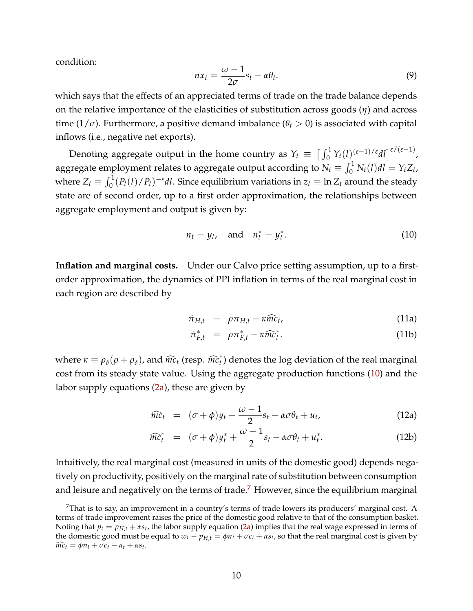condition:

<span id="page-10-3"></span>
$$
nx_t = \frac{\omega - 1}{2\sigma} s_t - \alpha \theta_t.
$$
\n(9)

which says that the effects of an appreciated terms of trade on the trade balance depends on the relative importance of the elasticities of substitution across goods (*η*) and across time ( $1/\sigma$ ). Furthermore, a positive demand imbalance ( $\theta_t > 0$ ) is associated with capital inflows (i.e., negative net exports).

Denoting aggregate output in the home country as  $Y_t \equiv \left[\int_0^1 Y_t(l)^{(\varepsilon-1)/\varepsilon} dl\right]^{\varepsilon/(\varepsilon-1)}$ , aggregate employment relates to aggregate output according to  $N_t \equiv \int_0^1 N_t(l) dl = Y_t Z_t$ , where  $Z_t \equiv \int_0^1 (P_t(l)/P_t)^{-\varepsilon} dl$ . Since equilibrium variations in  $z_t \equiv \ln Z_t$  around the steady state are of second order, up to a first order approximation, the relationships between aggregate employment and output is given by:

<span id="page-10-0"></span>
$$
n_t = y_t, \quad \text{and} \quad n_t^* = y_t^*.
$$
 (10)

**Inflation and marginal costs.** Under our Calvo price setting assumption, up to a firstorder approximation, the dynamics of PPI inflation in terms of the real marginal cost in each region are described by

<span id="page-10-2"></span>
$$
\dot{\pi}_{H,t} = \rho \pi_{H,t} - \kappa \widehat{mc}_t, \tag{11a}
$$

$$
\dot{\pi}_{F,t}^* = \rho \pi_{F,t}^* - \kappa \widehat{mc}_t^*.
$$
 (11b)

where  $\kappa \equiv \rho_{\delta}(\rho + \rho_{\delta})$ , and  $\widehat{mc}_t$  (resp.  $\widehat{mc}_t^*$ ) denotes the log deviation of the real marginal cost from its steady state value. Using the aggregate production functions [\(10\)](#page-10-0) and the labor supply equations  $(2a)$ , these are given by

<span id="page-10-4"></span>
$$
\widehat{mc}_t = (\sigma + \phi)y_t - \frac{\omega - 1}{2}s_t + \alpha \sigma \theta_t + u_t, \qquad (12a)
$$

$$
\widehat{mc}_t^* = (\sigma + \phi)y_t^* + \frac{\omega - 1}{2}s_t - \alpha\sigma\theta_t + u_t^*.
$$
 (12b)

Intuitively, the real marginal cost (measured in units of the domestic good) depends negatively on productivity, positively on the marginal rate of substitution between consumption and leisure and negatively on the terms of trade.<sup>[7](#page-10-1)</sup> However, since the equilibrium marginal

<span id="page-10-1"></span> $7$ That is to say, an improvement in a country's terms of trade lowers its producers' marginal cost. A terms of trade improvement raises the price of the domestic good relative to that of the consumption basket. Noting that  $p_t = p_{H,t} + \alpha s_t$ , the labor supply equation [\(2a\)](#page-6-0) implies that the real wage expressed in terms of the domestic good must be equal to  $w_t - p_{H,t} = \phi n_t + \sigma c_t + \alpha s_t$ , so that the real marginal cost is given by  $\widehat{mc}_t = \phi n_t + \sigma c_t - a_t + \alpha s_t.$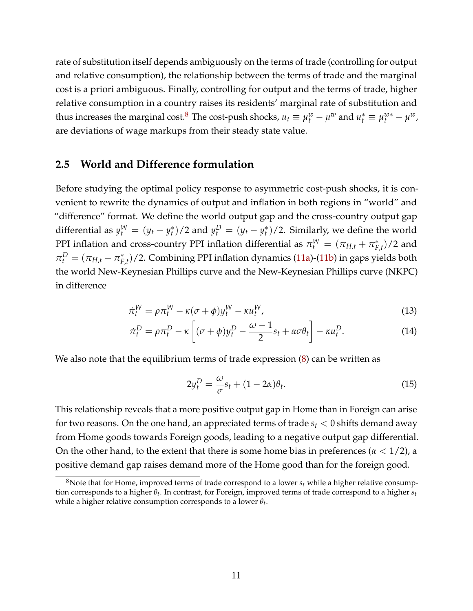rate of substitution itself depends ambiguously on the terms of trade (controlling for output and relative consumption), the relationship between the terms of trade and the marginal cost is a priori ambiguous. Finally, controlling for output and the terms of trade, higher relative consumption in a country raises its residents' marginal rate of substitution and thus increases the marginal cost.<sup>[8](#page-11-0)</sup> The cost-push shocks,  $u_t \equiv \mu_t^w - \mu^w$  and  $u_t^* \equiv \mu_t^{w*} - \mu^w$ , are deviations of wage markups from their steady state value.

#### **2.5 World and Difference formulation**

Before studying the optimal policy response to asymmetric cost-push shocks, it is convenient to rewrite the dynamics of output and inflation in both regions in "world" and "difference" format. We define the world output gap and the cross-country output gap differential as  $y_t^W = (y_t + y_t^*)$  $(y_t^*)/2$  and  $y_t^D = (y_t - y_t^*)$ *t* )/2. Similarly, we define the world PPI inflation and cross-country PPI inflation differential as  $\pi_t^W = (\pi_{H,t} + \pi_F^*)$  $_{F,t}^{*}$  $)/2$  and  $\pi_t^D = (\pi_{H,t} - \pi_F^*)$ *F*,*t* )/2. Combining PPI inflation dynamics [\(11a\)](#page-10-2)-[\(11b\)](#page-10-2) in gaps yields both the world New-Keynesian Phillips curve and the New-Keynesian Phillips curve (NKPC) in difference

$$
\dot{\pi}_t^W = \rho \pi_t^W - \kappa (\sigma + \phi) y_t^W - \kappa u_t^W, \qquad (13)
$$

$$
\dot{\pi}_t^D = \rho \pi_t^D - \kappa \left[ (\sigma + \phi) y_t^D - \frac{\omega - 1}{2} s_t + \alpha \sigma \theta_t \right] - \kappa u_t^D. \tag{14}
$$

We also note that the equilibrium terms of trade expression [\(8\)](#page-9-2) can be written as

<span id="page-11-3"></span><span id="page-11-2"></span><span id="page-11-1"></span>
$$
2y_t^D = \frac{\omega}{\sigma} s_t + (1 - 2\alpha)\theta_t.
$$
\n(15)

This relationship reveals that a more positive output gap in Home than in Foreign can arise for two reasons. On the one hand, an appreciated terms of trade  $s_t < 0$  shifts demand away from Home goods towards Foreign goods, leading to a negative output gap differential. On the other hand, to the extent that there is some home bias in preferences ( $\alpha$  < 1/2), a positive demand gap raises demand more of the Home good than for the foreign good.

<span id="page-11-0"></span><sup>&</sup>lt;sup>8</sup>Note that for Home, improved terms of trade correspond to a lower  $s_t$  while a higher relative consumption corresponds to a higher *θ<sup>t</sup>* . In contrast, for Foreign, improved terms of trade correspond to a higher *s<sup>t</sup>* while a higher relative consumption corresponds to a lower *θt* .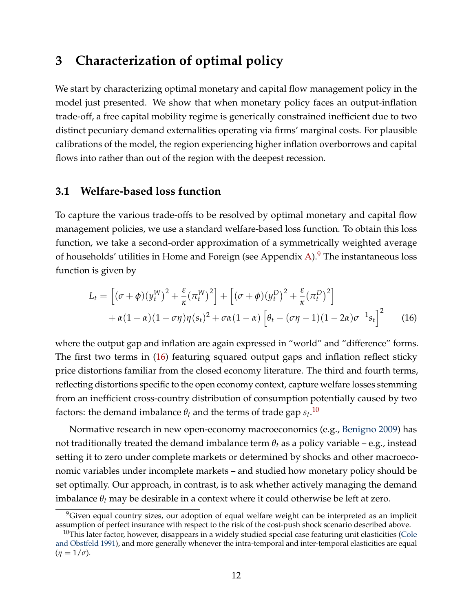# <span id="page-12-0"></span>**3 Characterization of optimal policy**

We start by characterizing optimal monetary and capital flow management policy in the model just presented. We show that when monetary policy faces an output-inflation trade-off, a free capital mobility regime is generically constrained inefficient due to two distinct pecuniary demand externalities operating via firms' marginal costs. For plausible calibrations of the model, the region experiencing higher inflation overborrows and capital flows into rather than out of the region with the deepest recession.

## **3.1 Welfare-based loss function**

To capture the various trade-offs to be resolved by optimal monetary and capital flow management policies, we use a standard welfare-based loss function. To obtain this loss function, we take a second-order approximation of a symmetrically weighted average of households' utilities in Home and Foreign (see Appendix [A\)](#page-33-0). $9$  The instantaneous loss function is given by

<span id="page-12-2"></span>
$$
L_t = \left[ (\sigma + \phi)(y_t^W)^2 + \frac{\varepsilon}{\kappa} (\pi_t^W)^2 \right] + \left[ (\sigma + \phi)(y_t^D)^2 + \frac{\varepsilon}{\kappa} (\pi_t^D)^2 \right] + \alpha (1 - \alpha)(1 - \sigma \eta) \eta (s_t)^2 + \sigma \alpha (1 - \alpha) \left[ \theta_t - (\sigma \eta - 1)(1 - 2\alpha) \sigma^{-1} s_t \right]^2
$$
(16)

where the output gap and inflation are again expressed in "world" and "difference" forms. The first two terms in [\(16\)](#page-12-2) featuring squared output gaps and inflation reflect sticky price distortions familiar from the closed economy literature. The third and fourth terms, reflecting distortions specific to the open economy context, capture welfare losses stemming from an inefficient cross-country distribution of consumption potentially caused by two factors: the demand imbalance  $\theta_t$  and the terms of trade gap  $s_t$ .<sup>[10](#page-12-3)</sup>

Normative research in new open-economy macroeconomics (e.g., [Benigno](#page-29-11) [2009\)](#page-29-11) has not traditionally treated the demand imbalance term  $\theta_t$  as a policy variable – e.g., instead setting it to zero under complete markets or determined by shocks and other macroeconomic variables under incomplete markets – and studied how monetary policy should be set optimally. Our approach, in contrast, is to ask whether actively managing the demand imbalance  $\theta_t$  may be desirable in a context where it could otherwise be left at zero.

<span id="page-12-1"></span><sup>&</sup>lt;sup>9</sup>Given equal country sizes, our adoption of equal welfare weight can be interpreted as an implicit assumption of perfect insurance with respect to the risk of the cost-push shock scenario described above.

<span id="page-12-3"></span> $10$ This later factor, however, disappears in a widely studied special case featuring unit elasticities [\(Cole](#page-30-9) [and Obstfeld](#page-30-9) [1991\)](#page-30-9), and more generally whenever the intra-temporal and inter-temporal elasticities are equal  $(\eta = 1/\sigma)$ .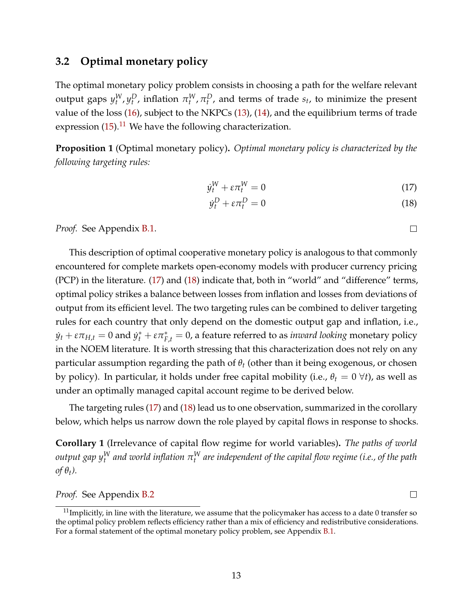## <span id="page-13-3"></span>**3.2 Optimal monetary policy**

The optimal monetary policy problem consists in choosing a path for the welfare relevant output gaps  $y_t^W, y_t^D$ , inflation  $\pi_t^W, \pi_t^D$ , and terms of trade  $s_t$ , to minimize the present value of the loss [\(16\)](#page-12-2), subject to the NKPCs [\(13\)](#page-11-1), [\(14\)](#page-11-2), and the equilibrium terms of trade expression  $(15).<sup>11</sup>$  $(15).<sup>11</sup>$  $(15).<sup>11</sup>$  $(15).<sup>11</sup>$  We have the following characterization.

<span id="page-13-4"></span>**Proposition 1** (Optimal monetary policy)**.** *Optimal monetary policy is characterized by the following targeting rules:*

$$
\dot{y}_t^W + \varepsilon \pi_t^W = 0 \tag{17}
$$

$$
\dot{y}_t^D + \varepsilon \pi_t^D = 0 \tag{18}
$$

*Proof.* See Appendix [B.1.](#page-37-0)

This description of optimal cooperative monetary policy is analogous to that commonly encountered for complete markets open-economy models with producer currency pricing (PCP) in the literature. [\(17\)](#page-13-1) and [\(18\)](#page-13-2) indicate that, both in "world" and "difference" terms, optimal policy strikes a balance between losses from inflation and losses from deviations of output from its efficient level. The two targeting rules can be combined to deliver targeting rules for each country that only depend on the domestic output gap and inflation, i.e.,  $\dot{y}_t + \varepsilon \pi_{H,t} = 0$  and  $\dot{y}_t^* + \varepsilon \pi_{F,t}^* = 0$ , a feature referred to as *inward looking* monetary policy in the NOEM literature. It is worth stressing that this characterization does not rely on any particular assumption regarding the path of *θ<sup>t</sup>* (other than it being exogenous, or chosen by policy). In particular, it holds under free capital mobility (i.e.,  $\theta_t = 0 \ \forall t$ ), as well as under an optimally managed capital account regime to be derived below.

The targeting rules [\(17\)](#page-13-1) and [\(18\)](#page-13-2) lead us to one observation, summarized in the corollary below, which helps us narrow down the role played by capital flows in response to shocks.

<span id="page-13-5"></span>**Corollary 1** (Irrelevance of capital flow regime for world variables)**.** *The paths of world*  $output$   $gap$   $y_t^W$  and world inflation  $\pi_t^W$  are independent of the capital flow regime (i.e., of the path  $\partial f \theta_t$ *)*.

*Proof.* See Appendix [B.2](#page-38-0)

 $\Box$ 

<span id="page-13-2"></span><span id="page-13-1"></span> $\Box$ 

<span id="page-13-0"></span> $11$ Implicitly, in line with the literature, we assume that the policymaker has access to a date 0 transfer so the optimal policy problem reflects efficiency rather than a mix of efficiency and redistributive considerations. For a formal statement of the optimal monetary policy problem, see Appendix [B.1.](#page-37-0)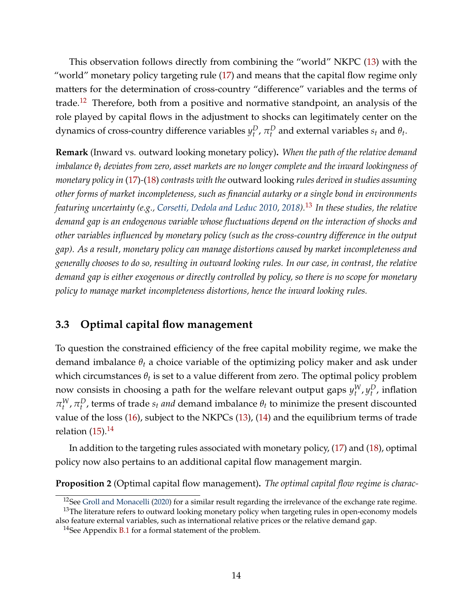This observation follows directly from combining the "world" NKPC [\(13\)](#page-11-1) with the "world" monetary policy targeting rule [\(17\)](#page-13-1) and means that the capital flow regime only matters for the determination of cross-country "difference" variables and the terms of trade.<sup>[12](#page-14-0)</sup> Therefore, both from a positive and normative standpoint, an analysis of the role played by capital flows in the adjustment to shocks can legitimately center on the dynamics of cross-country difference variables  $y_t^D$ ,  $\pi_t^D$  and external variables  $s_t$  and  $\theta_t$ .

**Remark** (Inward vs. outward looking monetary policy)**.** *When the path of the relative demand imbalance θ<sup>t</sup> deviates from zero, asset markets are no longer complete and the inward lookingness of monetary policy in* [\(17\)](#page-13-1)*-*[\(18\)](#page-13-2) *contrasts with the* outward looking *rules derived in studies assuming other forms of market incompleteness, such as financial autarky or a single bond in environments featuring uncertainty (e.g., [Corsetti, Dedola and Leduc](#page-30-10) [2010,](#page-30-10) [2018\)](#page-30-11).*[13](#page-14-1) *In these studies, the relative demand gap is an endogenous variable whose fluctuations depend on the interaction of shocks and other variables influenced by monetary policy (such as the cross-country difference in the output gap). As a result, monetary policy can manage distortions caused by market incompleteness and generally chooses to do so, resulting in outward looking rules. In our case, in contrast, the relative demand gap is either exogenous or directly controlled by policy, so there is no scope for monetary policy to manage market incompleteness distortions, hence the inward looking rules.*

## **3.3 Optimal capital flow management**

To question the constrained efficiency of the free capital mobility regime, we make the demand imbalance  $\theta_t$  a choice variable of the optimizing policy maker and ask under which circumstances  $\theta_t$  is set to a value different from zero. The optimal policy problem now consists in choosing a path for the welfare relevant output gaps  $y_t^W$ ,  $y_t^D$ , inflation *π*<sup>*W*</sup>, *π*<sup>*D*</sup>, terms of trade *st and* demand imbalance *θt* to minimize the present discounted value of the loss [\(16\)](#page-12-2), subject to the NKPCs [\(13\)](#page-11-1), [\(14\)](#page-11-2) and the equilibrium terms of trade relation  $(15)$ .<sup>[14](#page-14-2)</sup>

In addition to the targeting rules associated with monetary policy, [\(17\)](#page-13-1) and [\(18\)](#page-13-2), optimal policy now also pertains to an additional capital flow management margin.

<span id="page-14-3"></span>**Proposition 2** (Optimal capital flow management)**.** *The optimal capital flow regime is charac-*

<span id="page-14-1"></span><span id="page-14-0"></span> $12$ See [Groll and Monacelli](#page-31-13) [\(2020\)](#page-31-13) for a similar result regarding the irrelevance of the exchange rate regime. <sup>13</sup>The literature refers to outward looking monetary policy when targeting rules in open-economy models

also feature external variables, such as international relative prices or the relative demand gap.

<span id="page-14-2"></span><sup>&</sup>lt;sup>14</sup>See Appendix [B.1](#page-37-0) for a formal statement of the problem.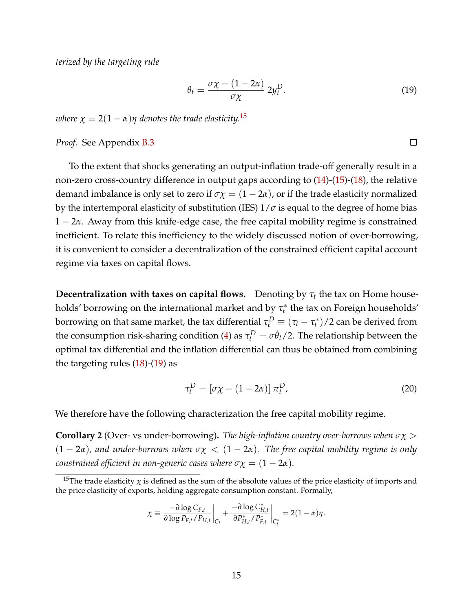*terized by the targeting rule*

$$
\theta_t = \frac{\sigma \chi - (1 - 2\alpha)}{\sigma \chi} 2y_t^D. \tag{19}
$$

<span id="page-15-1"></span> $\Box$ 

*where*  $\chi \equiv 2(1 - \alpha)\eta$  *denotes the trade elasticity.*<sup>[15](#page-15-0)</sup>

*Proof.* See Appendix [B.3](#page-39-0)

To the extent that shocks generating an output-inflation trade-off generally result in a non-zero cross-country difference in output gaps according to [\(14\)](#page-11-2)-[\(15\)](#page-11-3)-[\(18\)](#page-13-2), the relative demand imbalance is only set to zero if  $\sigma \chi = (1 - 2\alpha)$ , or if the trade elasticity normalized by the intertemporal elasticity of substitution (IES)  $1/\sigma$  is equal to the degree of home bias 1 − 2*α*. Away from this knife-edge case, the free capital mobility regime is constrained inefficient. To relate this inefficiency to the widely discussed notion of over-borrowing, it is convenient to consider a decentralization of the constrained efficient capital account regime via taxes on capital flows.

**Decentralization with taxes on capital flows.** Denoting by  $\tau_t$  the tax on Home households' borrowing on the international market and by *τ* ∗  $t<sub>t</sub><sup>*</sup>$  the tax on Foreign households' borrowing on that same market, the tax differential  $\tau_t^D \equiv (\tau_t - \tau_t^*)$  $(t<sup>*</sup>)/2$  can be derived from the consumption risk-sharing condition [\(4\)](#page-8-1) as  $\tau_t^D = \sigma \dot{\theta}_t/2$ . The relationship between the optimal tax differential and the inflation differential can thus be obtained from combining the targeting rules  $(18)-(19)$  $(18)-(19)$  $(18)-(19)$  as

$$
\tau_t^D = [\sigma \chi - (1 - 2\alpha)] \, \pi_t^D,\tag{20}
$$

We therefore have the following characterization the free capital mobility regime.

<span id="page-15-2"></span>**Corollary 2** (Over- vs under-borrowing)**.** *The high-inflation country over-borrows when σχ* >  $(1 - 2\alpha)$ , and under-borrows when  $\sigma \chi < (1 - 2\alpha)$ . The free capital mobility regime is only *constrained efficient in non-generic cases where*  $\sigma \chi = (1 - 2\alpha)$ *.* 

$$
\chi \equiv \frac{-\partial \log C_{F,t}}{\partial \log P_{F,t}/P_{H,t}}\bigg|_{C_t} + \frac{-\partial \log C^*_{H,t}}{\partial P^*_{H,t}/P^*_{F,t}}\bigg|_{C^*_t} = 2(1-\alpha)\eta.
$$

<span id="page-15-0"></span><sup>&</sup>lt;sup>15</sup>The trade elasticity  $\chi$  is defined as the sum of the absolute values of the price elasticity of imports and the price elasticity of exports, holding aggregate consumption constant. Formally,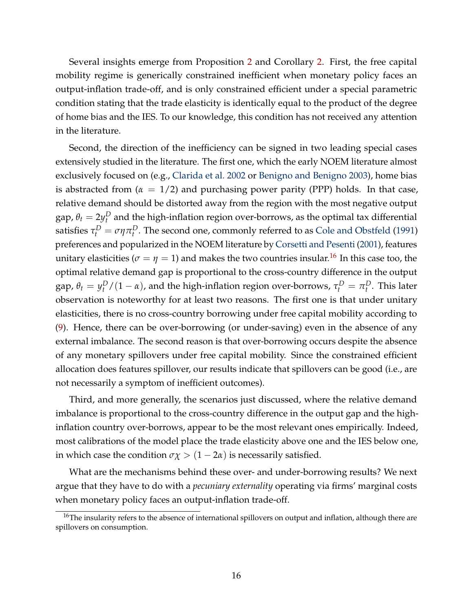Several insights emerge from Proposition [2](#page-14-3) and Corollary [2.](#page-15-2) First, the free capital mobility regime is generically constrained inefficient when monetary policy faces an output-inflation trade-off, and is only constrained efficient under a special parametric condition stating that the trade elasticity is identically equal to the product of the degree of home bias and the IES. To our knowledge, this condition has not received any attention in the literature.

Second, the direction of the inefficiency can be signed in two leading special cases extensively studied in the literature. The first one, which the early NOEM literature almost exclusively focused on (e.g., [Clarida et al.](#page-29-8) [2002](#page-29-8) or [Benigno and Benigno](#page-29-12) [2003\)](#page-29-12), home bias is abstracted from  $(\alpha = 1/2)$  and purchasing power parity (PPP) holds. In that case, relative demand should be distorted away from the region with the most negative output gap,  $\theta_t = 2 y^D_t$  and the high-inflation region over-borrows, as the optimal tax differential satisfies  $\tau_t^D = \sigma \eta \pi_t^D$ . The second one, commonly referred to as [Cole and Obstfeld](#page-30-9) [\(1991\)](#page-30-9) preferences and popularized in the NOEM literature by [Corsetti and Pesenti](#page-30-12) [\(2001\)](#page-30-12), features unitary elasticities ( $\sigma = \eta = 1$ ) and makes the two countries insular.<sup>[16](#page-16-0)</sup> In this case too, the optimal relative demand gap is proportional to the cross-country difference in the output gap,  $θ_t = y_t^D/(1 - α)$ , and the high-inflation region over-borrows,  $τ_t^D = π_t^D$ . This later observation is noteworthy for at least two reasons. The first one is that under unitary elasticities, there is no cross-country borrowing under free capital mobility according to [\(9\)](#page-10-3). Hence, there can be over-borrowing (or under-saving) even in the absence of any external imbalance. The second reason is that over-borrowing occurs despite the absence of any monetary spillovers under free capital mobility. Since the constrained efficient allocation does features spillover, our results indicate that spillovers can be good (i.e., are not necessarily a symptom of inefficient outcomes).

Third, and more generally, the scenarios just discussed, where the relative demand imbalance is proportional to the cross-country difference in the output gap and the highinflation country over-borrows, appear to be the most relevant ones empirically. Indeed, most calibrations of the model place the trade elasticity above one and the IES below one, in which case the condition  $\sigma \chi > (1 - 2\alpha)$  is necessarily satisfied.

What are the mechanisms behind these over- and under-borrowing results? We next argue that they have to do with a *pecuniary externality* operating via firms' marginal costs when monetary policy faces an output-inflation trade-off.

<span id="page-16-0"></span><sup>&</sup>lt;sup>16</sup>The insularity refers to the absence of international spillovers on output and inflation, although there are spillovers on consumption.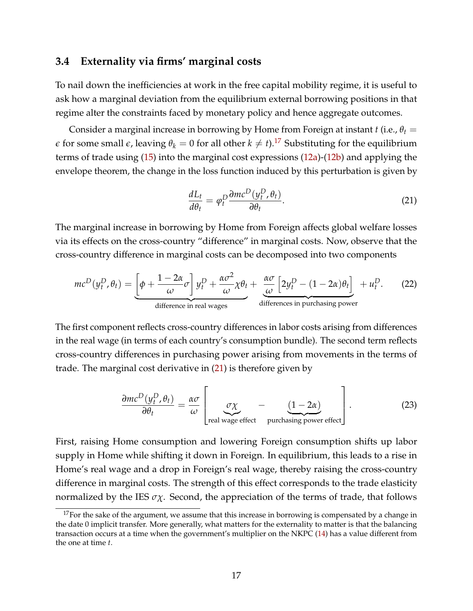### <span id="page-17-2"></span>**3.4 Externality via firms' marginal costs**

To nail down the inefficiencies at work in the free capital mobility regime, it is useful to ask how a marginal deviation from the equilibrium external borrowing positions in that regime alter the constraints faced by monetary policy and hence aggregate outcomes.

Consider a marginal increase in borrowing by Home from Foreign at instant  $t$  (i.e.,  $\theta_t =$  $\epsilon$  for some small  $\epsilon$ , leaving  $\theta_k = 0$  for all other  $k \neq t$ ).<sup>[17](#page-17-0)</sup> Substituting for the equilibrium terms of trade using [\(15\)](#page-11-3) into the marginal cost expressions [\(12a\)](#page-10-4)-[\(12b\)](#page-10-4) and applying the envelope theorem, the change in the loss function induced by this perturbation is given by

<span id="page-17-1"></span>
$$
\frac{dL_t}{d\theta_t} = \varphi_t^D \frac{\partial mc^D(y_t^D, \theta_t)}{\partial \theta_t}.
$$
\n(21)

The marginal increase in borrowing by Home from Foreign affects global welfare losses via its effects on the cross-country "difference" in marginal costs. Now, observe that the cross-country difference in marginal costs can be decomposed into two components

$$
mc^{D}(y_{t}^{D}, \theta_{t}) = \underbrace{\left[\phi + \frac{1 - 2\alpha}{\omega}\sigma\right]y_{t}^{D} + \frac{\alpha\sigma^{2}}{\omega}\chi\theta_{t}}_{\text{difference in real wages}} + \underbrace{\frac{\alpha\sigma}{\omega}\left[2y_{t}^{D} - (1 - 2\alpha)\theta_{t}\right]}_{\text{difference in purchasing power}} + u_{t}^{D}.
$$
 (22)

The first component reflects cross-country differences in labor costs arising from differences in the real wage (in terms of each country's consumption bundle). The second term reflects cross-country differences in purchasing power arising from movements in the terms of trade. The marginal cost derivative in [\(21\)](#page-17-1) is therefore given by

$$
\frac{\partial mc^D(y_t^D, \theta_t)}{\partial \theta_t} = \frac{\alpha \sigma}{\omega} \left[ \frac{\sigma \chi}{\text{real wage effect}} - \frac{(1 - 2\alpha)}{\text{ purchasing power effect}} \right].
$$
 (23)

First, raising Home consumption and lowering Foreign consumption shifts up labor supply in Home while shifting it down in Foreign. In equilibrium, this leads to a rise in Home's real wage and a drop in Foreign's real wage, thereby raising the cross-country difference in marginal costs. The strength of this effect corresponds to the trade elasticity normalized by the IES  $\sigma \chi$ . Second, the appreciation of the terms of trade, that follows

<span id="page-17-0"></span> $17$  For the sake of the argument, we assume that this increase in borrowing is compensated by a change in the date 0 implicit transfer. More generally, what matters for the externality to matter is that the balancing transaction occurs at a time when the government's multiplier on the NKPC [\(14\)](#page-11-2) has a value different from the one at time *t*.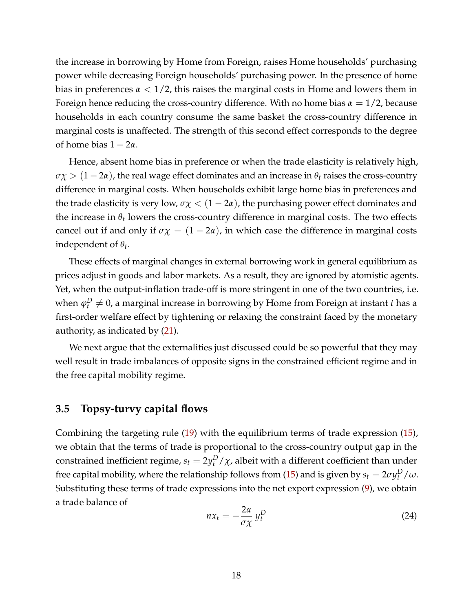the increase in borrowing by Home from Foreign, raises Home households' purchasing power while decreasing Foreign households' purchasing power. In the presence of home bias in preferences  $\alpha < 1/2$ , this raises the marginal costs in Home and lowers them in Foreign hence reducing the cross-country difference. With no home bias  $\alpha = 1/2$ , because households in each country consume the same basket the cross-country difference in marginal costs is unaffected. The strength of this second effect corresponds to the degree of home bias  $1 - 2\alpha$ .

Hence, absent home bias in preference or when the trade elasticity is relatively high,  $\sigma \chi > (1-2\alpha)$ , the real wage effect dominates and an increase in  $\theta_t$  raises the cross-country difference in marginal costs. When households exhibit large home bias in preferences and the trade elasticity is very low,  $\sigma \chi < (1 - 2\alpha)$ , the purchasing power effect dominates and the increase in  $\theta_t$  lowers the cross-country difference in marginal costs. The two effects cancel out if and only if  $\sigma \chi = (1 - 2\alpha)$ , in which case the difference in marginal costs independent of *θ<sup>t</sup>* .

These effects of marginal changes in external borrowing work in general equilibrium as prices adjust in goods and labor markets. As a result, they are ignored by atomistic agents. Yet, when the output-inflation trade-off is more stringent in one of the two countries, i.e. when  $\varphi^D_t \neq 0$ , a marginal increase in borrowing by Home from Foreign at instant  $t$  has a first-order welfare effect by tightening or relaxing the constraint faced by the monetary authority, as indicated by [\(21\)](#page-17-1).

We next argue that the externalities just discussed could be so powerful that they may well result in trade imbalances of opposite signs in the constrained efficient regime and in the free capital mobility regime.

#### **3.5 Topsy-turvy capital flows**

Combining the targeting rule [\(19\)](#page-15-1) with the equilibrium terms of trade expression [\(15\)](#page-11-3), we obtain that the terms of trade is proportional to the cross-country output gap in the constrained inefficient regime,  $s_t = 2y_t^D / \chi$ , albeit with a different coefficient than under free capital mobility, where the relationship follows from [\(15\)](#page-11-3) and is given by  $s_t = 2\sigma y_t^D/\omega$ . Substituting these terms of trade expressions into the net export expression [\(9\)](#page-10-3), we obtain a trade balance of

<span id="page-18-0"></span>
$$
nx_t = -\frac{2\alpha}{\sigma \chi} y_t^D \tag{24}
$$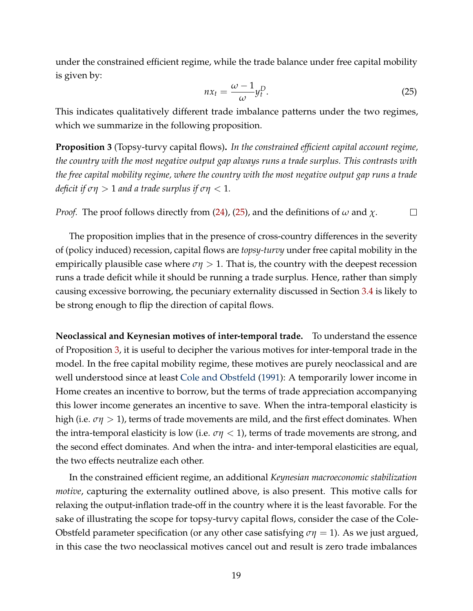under the constrained efficient regime, while the trade balance under free capital mobility is given by:

<span id="page-19-0"></span>
$$
nx_t = \frac{\omega - 1}{\omega} y_t^D. \tag{25}
$$

This indicates qualitatively different trade imbalance patterns under the two regimes, which we summarize in the following proposition.

<span id="page-19-1"></span>**Proposition 3** (Topsy-turvy capital flows)**.** *In the constrained efficient capital account regime, the country with the most negative output gap always runs a trade surplus. This contrasts with the free capital mobility regime, where the country with the most negative output gap runs a trade deficit if*  $\sigma\eta > 1$  *and a trade surplus if*  $\sigma\eta < 1$ *.* 

*Proof.* The proof follows directly from [\(24\)](#page-18-0), [\(25\)](#page-19-0), and the definitions of  $\omega$  and  $\chi$ .  $\Box$ 

The proposition implies that in the presence of cross-country differences in the severity of (policy induced) recession, capital flows are *topsy-turvy* under free capital mobility in the empirically plausible case where  $\sigma\eta > 1$ . That is, the country with the deepest recession runs a trade deficit while it should be running a trade surplus. Hence, rather than simply causing excessive borrowing, the pecuniary externality discussed in Section [3.4](#page-17-2) is likely to be strong enough to flip the direction of capital flows.

**Neoclassical and Keynesian motives of inter-temporal trade.** To understand the essence of Proposition [3,](#page-19-1) it is useful to decipher the various motives for inter-temporal trade in the model. In the free capital mobility regime, these motives are purely neoclassical and are well understood since at least [Cole and Obstfeld](#page-30-9) [\(1991\)](#page-30-9): A temporarily lower income in Home creates an incentive to borrow, but the terms of trade appreciation accompanying this lower income generates an incentive to save. When the intra-temporal elasticity is high (i.e. *ση* > 1), terms of trade movements are mild, and the first effect dominates. When the intra-temporal elasticity is low (i.e.  $\sigma\eta$  < 1), terms of trade movements are strong, and the second effect dominates. And when the intra- and inter-temporal elasticities are equal, the two effects neutralize each other.

In the constrained efficient regime, an additional *Keynesian macroeconomic stabilization motive*, capturing the externality outlined above, is also present. This motive calls for relaxing the output-inflation trade-off in the country where it is the least favorable. For the sake of illustrating the scope for topsy-turvy capital flows, consider the case of the Cole-Obstfeld parameter specification (or any other case satisfying  $\sigma\eta = 1$ ). As we just argued, in this case the two neoclassical motives cancel out and result is zero trade imbalances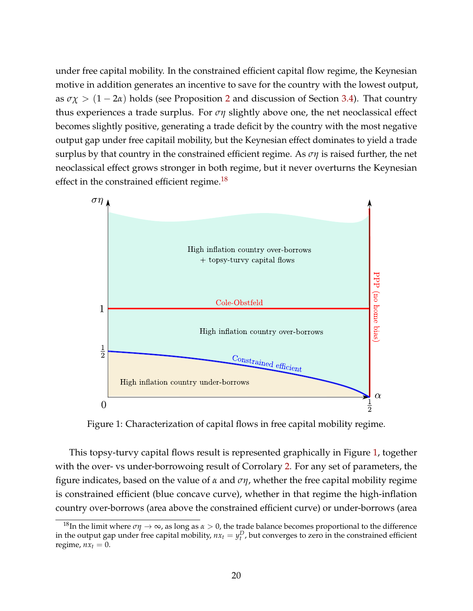under free capital mobility. In the constrained efficient capital flow regime, the Keynesian motive in addition generates an incentive to save for the country with the lowest output, as  $\sigma \chi > (1 - 2\alpha)$  $\sigma \chi > (1 - 2\alpha)$  $\sigma \chi > (1 - 2\alpha)$  holds (see Proposition 2 and discussion of Section [3.4\)](#page-17-2). That country thus experiences a trade surplus. For *ση* slightly above one, the net neoclassical effect becomes slightly positive, generating a trade deficit by the country with the most negative output gap under free capitail mobility, but the Keynesian effect dominates to yield a trade surplus by that country in the constrained efficient regime. As *ση* is raised further, the net neoclassical effect grows stronger in both regime, but it never overturns the Keynesian effect in the constrained efficient regime.<sup>[18](#page-20-0)</sup>

<span id="page-20-1"></span>

Figure 1: Characterization of capital flows in free capital mobility regime.

This topsy-turvy capital flows result is represented graphically in Figure [1,](#page-20-1) together with the over- vs under-borrowoing result of Corrolary [2.](#page-15-2) For any set of parameters, the figure indicates, based on the value of *α* and *ση*, whether the free capital mobility regime is constrained efficient (blue concave curve), whether in that regime the high-inflation country over-borrows (area above the constrained efficient curve) or under-borrows (area

<span id="page-20-0"></span><sup>&</sup>lt;sup>18</sup>In the limit where  $\sigma\eta \to \infty$ , as long as  $\alpha > 0$ , the trade balance becomes proportional to the difference in the output gap under free capital mobility,  $nx_t = y_t^D$ , but converges to zero in the constrained efficient regime,  $nx_t = 0$ .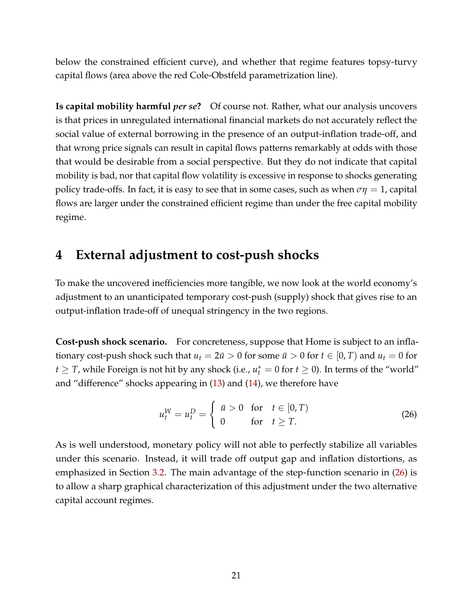below the constrained efficient curve), and whether that regime features topsy-turvy capital flows (area above the red Cole-Obstfeld parametrization line).

**Is capital mobility harmful** *per se***?** Of course not. Rather, what our analysis uncovers is that prices in unregulated international financial markets do not accurately reflect the social value of external borrowing in the presence of an output-inflation trade-off, and that wrong price signals can result in capital flows patterns remarkably at odds with those that would be desirable from a social perspective. But they do not indicate that capital mobility is bad, nor that capital flow volatility is excessive in response to shocks generating policy trade-offs. In fact, it is easy to see that in some cases, such as when  $\sigma\eta = 1$ , capital flows are larger under the constrained efficient regime than under the free capital mobility regime.

# <span id="page-21-0"></span>**4 External adjustment to cost-push shocks**

To make the uncovered inefficiencies more tangible, we now look at the world economy's adjustment to an unanticipated temporary cost-push (supply) shock that gives rise to an output-inflation trade-off of unequal stringency in the two regions.

**Cost-push shock scenario.** For concreteness, suppose that Home is subject to an inflationary cost-push shock such that  $u_t = 2\bar{u} > 0$  for some  $\bar{u} > 0$  for  $t \in [0, T)$  and  $u_t = 0$  for  $t \geq T$ , while Foreign is not hit by any shock (i.e.,  $u_t^* = 0$  for  $t \geq 0$ ). In terms of the "world" and "difference" shocks appearing in [\(13\)](#page-11-1) and [\(14\)](#page-11-2), we therefore have

<span id="page-21-1"></span>
$$
u_t^W = u_t^D = \begin{cases} \bar{u} > 0 \quad \text{for} \quad t \in [0, T) \\ 0 & \text{for} \quad t \ge T. \end{cases} \tag{26}
$$

As is well understood, monetary policy will not able to perfectly stabilize all variables under this scenario. Instead, it will trade off output gap and inflation distortions, as emphasized in Section [3.2.](#page-13-3) The main advantage of the step-function scenario in [\(26\)](#page-21-1) is to allow a sharp graphical characterization of this adjustment under the two alternative capital account regimes.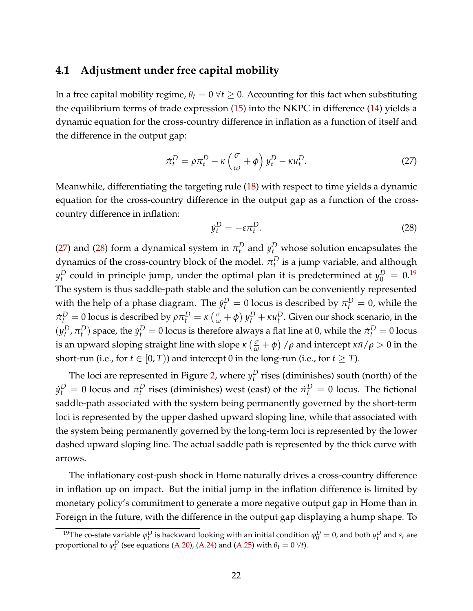### <span id="page-22-3"></span>**4.1 Adjustment under free capital mobility**

In a free capital mobility regime,  $\theta_t = 0 \ \forall t \geq 0$ . Accounting for this fact when substituting the equilibrium terms of trade expression [\(15\)](#page-11-3) into the NKPC in difference [\(14\)](#page-11-2) yields a dynamic equation for the cross-country difference in inflation as a function of itself and the difference in the output gap:

<span id="page-22-0"></span>
$$
\dot{\pi}_t^D = \rho \pi_t^D - \kappa \left(\frac{\sigma}{\omega} + \phi\right) y_t^D - \kappa u_t^D. \tag{27}
$$

Meanwhile, differentiating the targeting rule [\(18\)](#page-13-2) with respect to time yields a dynamic equation for the cross-country difference in the output gap as a function of the crosscountry difference in inflation:

<span id="page-22-1"></span>
$$
\dot{y}_t^D = -\varepsilon \pi_t^D. \tag{28}
$$

[\(27\)](#page-22-0) and [\(28\)](#page-22-1) form a dynamical system in  $\pi_t^D$  and  $y_t^D$  whose solution encapsulates the dynamics of the cross-country block of the model.  $\pi^D_t$  is a jump variable, and although  $y_t^D$  could in principle jump, under the optimal plan it is predetermined at  $y_0^D = 0.19$  $y_0^D = 0.19$ The system is thus saddle-path stable and the solution can be conveniently represented with the help of a phase diagram. The  $\dot{y}_t^D = 0$  locus is described by  $\pi_t^D = 0$ , while the  $\pi_t^D = 0$  locus is described by  $\rho \pi_t^D = \kappa \left(\frac{\sigma}{\omega} + \phi\right) y_t^D + \kappa u_t^D$ . Given our shock scenario, in the  $(y_t^D, \pi_t^D)$  space, the  $\dot{y}_t^D = 0$  locus is therefore always a flat line at 0, while the  $\dot{\pi}_t^D = 0$  locus is an upward sloping straight line with slope  $\kappa\left(\frac{\sigma}{\omega}+\phi\right)/\rho$  and intercept  $\kappa\bar{u}/\rho>0$  in the short-run (i.e., for  $t \in [0, T)$ ) and intercept 0 in the long-run (i.e., for  $t \geq T$ ).

The loci are represented in Figure [2,](#page-23-0) where  $y_t^D$  rises (diminishes) south (north) of the  $y_t^D = 0$  locus and  $\pi_t^D$  rises (diminishes) west (east) of the  $\dot{\pi}_t^D = 0$  locus. The fictional saddle-path associated with the system being permanently governed by the short-term loci is represented by the upper dashed upward sloping line, while that associated with the system being permanently governed by the long-term loci is represented by the lower dashed upward sloping line. The actual saddle path is represented by the thick curve with arrows.

The inflationary cost-push shock in Home naturally drives a cross-country difference in inflation up on impact. But the initial jump in the inflation difference is limited by monetary policy's commitment to generate a more negative output gap in Home than in Foreign in the future, with the difference in the output gap displaying a hump shape. To

<span id="page-22-2"></span><sup>&</sup>lt;sup>19</sup>The co-state variable  $\varphi_t^D$  is backward looking with an initial condition  $\varphi_0^D = 0$ , and both  $y_t^D$  and  $s_t$  are proportional to  $\varphi_t^D$  (see equations [\(A.20\)](#page-36-0), [\(A.24\)](#page-37-1) and [\(A.25\)](#page-37-2) with  $\theta_t = 0 \,\forall t$ ).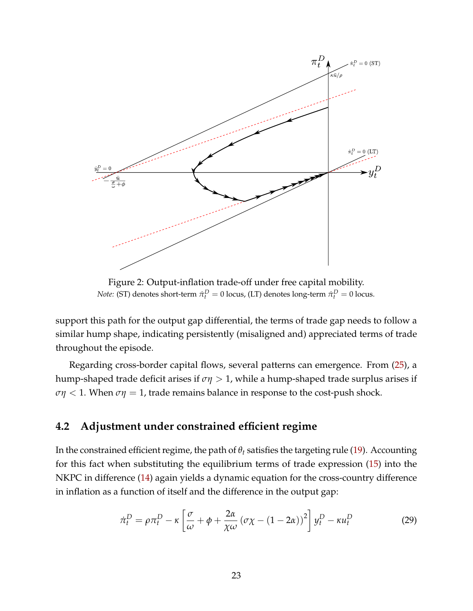<span id="page-23-0"></span>

Figure 2: Output-inflation trade-off under free capital mobility. *Note:* (ST) denotes short-term  $\dot{\pi}_t^D = 0$  locus, (LT) denotes long-term  $\dot{\pi}_t^D = 0$  locus.

support this path for the output gap differential, the terms of trade gap needs to follow a similar hump shape, indicating persistently (misaligned and) appreciated terms of trade throughout the episode.

Regarding cross-border capital flows, several patterns can emergence. From [\(25\)](#page-19-0), a hump-shaped trade deficit arises if *ση* > 1, while a hump-shaped trade surplus arises if  $\sigma\eta$  < 1. When  $\sigma\eta$  = 1, trade remains balance in response to the cost-push shock.

## <span id="page-23-2"></span>**4.2 Adjustment under constrained efficient regime**

In the constrained efficient regime, the path of  $\theta_t$  satisfies the targeting rule [\(19\)](#page-15-1). Accounting for this fact when substituting the equilibrium terms of trade expression [\(15\)](#page-11-3) into the NKPC in difference [\(14\)](#page-11-2) again yields a dynamic equation for the cross-country difference in inflation as a function of itself and the difference in the output gap:

<span id="page-23-1"></span>
$$
\dot{\pi}_t^D = \rho \pi_t^D - \kappa \left[ \frac{\sigma}{\omega} + \phi + \frac{2\alpha}{\chi \omega} \left( \sigma \chi - (1 - 2\alpha) \right)^2 \right] y_t^D - \kappa u_t^D \tag{29}
$$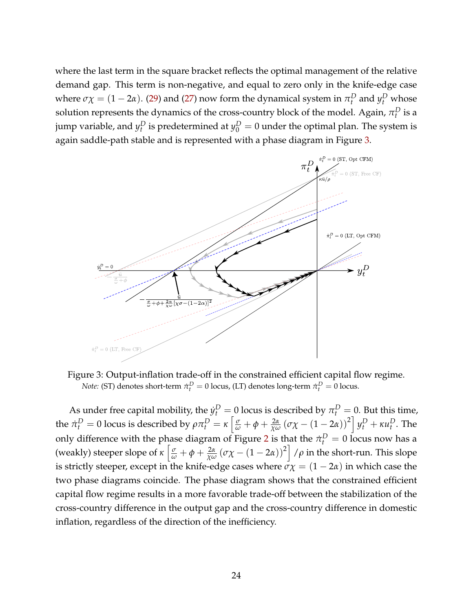where the last term in the square bracket reflects the optimal management of the relative demand gap. This term is non-negative, and equal to zero only in the knife-edge case where  $\sigma \chi = (1 - 2\alpha)$ . [\(29\)](#page-23-1) and [\(27\)](#page-22-0) now form the dynamical system in  $\pi_t^D$  and  $y_t^D$  whose solution represents the dynamics of the cross-country block of the model. Again,  $\pi^D_t$  is a jump variable, and  $y_t^D$  is predetermined at  $y_0^D = 0$  under the optimal plan. The system is again saddle-path stable and is represented with a phase diagram in Figure [3.](#page-24-0)

<span id="page-24-0"></span>

Figure 3: Output-inflation trade-off in the constrained efficient capital flow regime. *Note:* (ST) denotes short-term  $\dot{\pi}_t^D = 0$  locus, (LT) denotes long-term  $\dot{\pi}_t^D = 0$  locus.

As under free capital mobility, the  $\dot{y}_t^D = 0$  locus is described by  $\pi_t^D = 0$ . But this time, the  $\dot{\pi}_t^D = 0$  locus is described by  $\rho \pi_t^D = \kappa \left[ \frac{\sigma}{\omega} + \phi + \frac{2\alpha}{\chi \omega} \left( \sigma \chi - (1 - 2\alpha) \right)^2 \right] y_t^D + \kappa u_t^D$ . The only difference with the phase diagram of Figure [2](#page-23-0) is that the  $\dot{\pi}_t^D = 0$  locus now has a (weakly) steeper slope of  $\kappa \left[ \frac{\sigma}{\omega} + \phi + \frac{2\alpha}{\chi \omega} (\sigma \chi - (1 - 2\alpha))^2 \right] / \rho$  in the short-run. This slope is strictly steeper, except in the knife-edge cases where  $\sigma \chi = (1 - 2\alpha)$  in which case the two phase diagrams coincide. The phase diagram shows that the constrained efficient capital flow regime results in a more favorable trade-off between the stabilization of the cross-country difference in the output gap and the cross-country difference in domestic inflation, regardless of the direction of the inefficiency.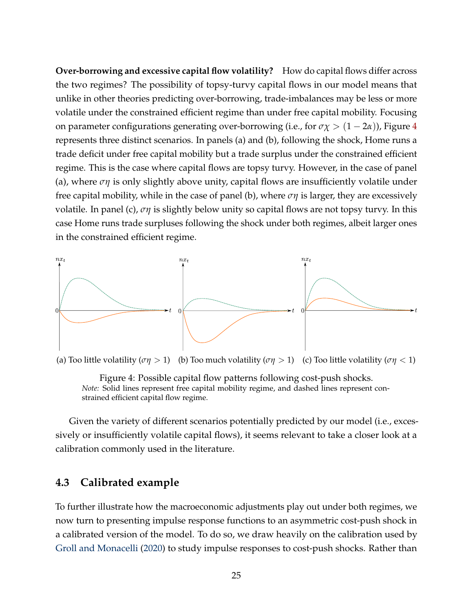**Over-borrowing and excessive capital flow volatility?** How do capital flows differ across the two regimes? The possibility of topsy-turvy capital flows in our model means that unlike in other theories predicting over-borrowing, trade-imbalances may be less or more volatile under the constrained efficient regime than under free capital mobility. Focusing on parameter configurations generating over-borrowing (i.e., for  $\sigma \chi > (1 - 2\alpha)$ ), Figure [4](#page-25-0) represents three distinct scenarios. In panels (a) and (b), following the shock, Home runs a trade deficit under free capital mobility but a trade surplus under the constrained efficient regime. This is the case where capital flows are topsy turvy. However, in the case of panel (a), where *ση* is only slightly above unity, capital flows are insufficiently volatile under free capital mobility, while in the case of panel (b), where *ση* is larger, they are excessively volatile. In panel (c), *ση* is slightly below unity so capital flows are not topsy turvy. In this case Home runs trade surpluses following the shock under both regimes, albeit larger ones in the constrained efficient regime.

<span id="page-25-0"></span>

(a) Too little volatility ( $\sigma\eta > 1$ ) (b) Too much volatility ( $\sigma\eta > 1$ ) (c) Too little volatility ( $\sigma\eta < 1$ )

Figure 4: Possible capital flow patterns following cost-push shocks. *Note:* Solid lines represent free capital mobility regime, and dashed lines represent constrained efficient capital flow regime.

Given the variety of different scenarios potentially predicted by our model (i.e., excessively or insufficiently volatile capital flows), it seems relevant to take a closer look at a calibration commonly used in the literature.

### **4.3 Calibrated example**

To further illustrate how the macroeconomic adjustments play out under both regimes, we now turn to presenting impulse response functions to an asymmetric cost-push shock in a calibrated version of the model. To do so, we draw heavily on the calibration used by [Groll and Monacelli](#page-31-13) [\(2020\)](#page-31-13) to study impulse responses to cost-push shocks. Rather than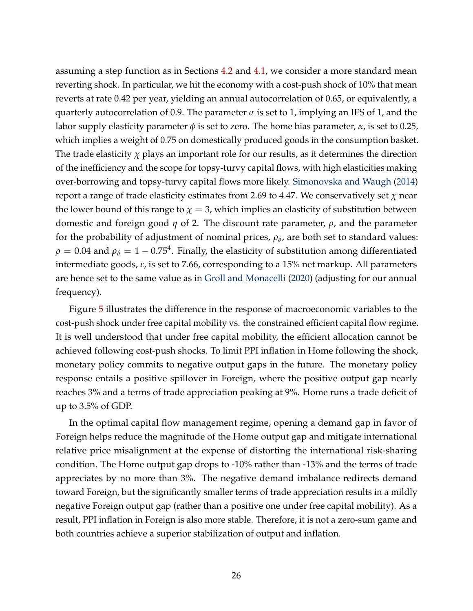assuming a step function as in Sections [4.2](#page-23-2) and [4.1,](#page-22-3) we consider a more standard mean reverting shock. In particular, we hit the economy with a cost-push shock of 10% that mean reverts at rate 0.42 per year, yielding an annual autocorrelation of 0.65, or equivalently, a quarterly autocorrelation of 0.9. The parameter  $\sigma$  is set to 1, implying an IES of 1, and the labor supply elasticity parameter  $\phi$  is set to zero. The home bias parameter,  $\alpha$ , is set to 0.25, which implies a weight of 0.75 on domestically produced goods in the consumption basket. The trade elasticity  $\chi$  plays an important role for our results, as it determines the direction of the inefficiency and the scope for topsy-turvy capital flows, with high elasticities making over-borrowing and topsy-turvy capital flows more likely. [Simonovska and Waugh](#page-32-2) [\(2014\)](#page-32-2) report a range of trade elasticity estimates from 2.69 to 4.47. We conservatively set *χ* near the lower bound of this range to  $\chi = 3$ , which implies an elasticity of substitution between domestic and foreign good *η* of 2. The discount rate parameter, *ρ*, and the parameter for the probability of adjustment of nominal prices*,*  $\rho_\delta$ *,* are both set to standard values:  $\rho=0.04$  and  $\rho_\delta=1-0.75^4.$  Finally, the elasticity of substitution among differentiated intermediate goods, *ε*, is set to 7.66, corresponding to a 15% net markup. All parameters are hence set to the same value as in [Groll and Monacelli](#page-31-13) [\(2020\)](#page-31-13) (adjusting for our annual frequency).

Figure [5](#page-27-0) illustrates the difference in the response of macroeconomic variables to the cost-push shock under free capital mobility vs. the constrained efficient capital flow regime. It is well understood that under free capital mobility, the efficient allocation cannot be achieved following cost-push shocks. To limit PPI inflation in Home following the shock, monetary policy commits to negative output gaps in the future. The monetary policy response entails a positive spillover in Foreign, where the positive output gap nearly reaches 3% and a terms of trade appreciation peaking at 9%. Home runs a trade deficit of up to 3.5% of GDP.

In the optimal capital flow management regime, opening a demand gap in favor of Foreign helps reduce the magnitude of the Home output gap and mitigate international relative price misalignment at the expense of distorting the international risk-sharing condition. The Home output gap drops to -10% rather than -13% and the terms of trade appreciates by no more than 3%. The negative demand imbalance redirects demand toward Foreign, but the significantly smaller terms of trade appreciation results in a mildly negative Foreign output gap (rather than a positive one under free capital mobility). As a result, PPI inflation in Foreign is also more stable. Therefore, it is not a zero-sum game and both countries achieve a superior stabilization of output and inflation.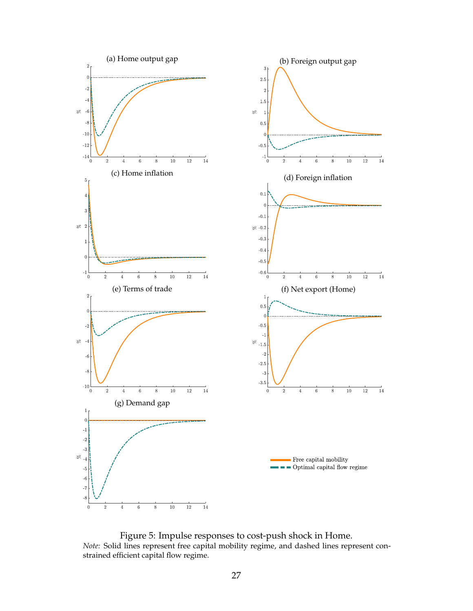<span id="page-27-0"></span>

Figure 5: Impulse responses to cost-push shock in Home. *Note:* Solid lines represent free capital mobility regime, and dashed lines represent constrained efficient capital flow regime.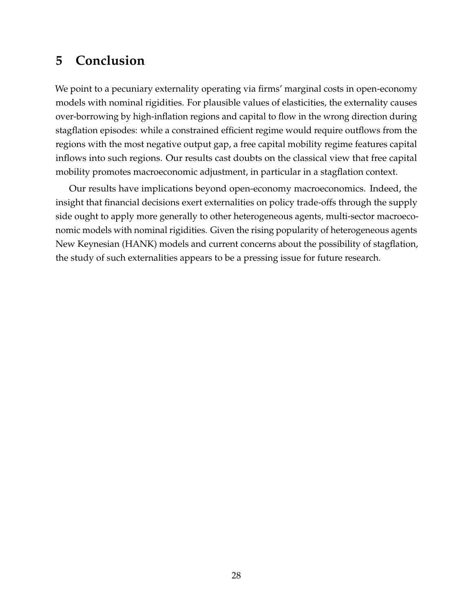# <span id="page-28-0"></span>**5 Conclusion**

We point to a pecuniary externality operating via firms' marginal costs in open-economy models with nominal rigidities. For plausible values of elasticities, the externality causes over-borrowing by high-inflation regions and capital to flow in the wrong direction during stagflation episodes: while a constrained efficient regime would require outflows from the regions with the most negative output gap, a free capital mobility regime features capital inflows into such regions. Our results cast doubts on the classical view that free capital mobility promotes macroeconomic adjustment, in particular in a stagflation context.

Our results have implications beyond open-economy macroeconomics. Indeed, the insight that financial decisions exert externalities on policy trade-offs through the supply side ought to apply more generally to other heterogeneous agents, multi-sector macroeconomic models with nominal rigidities. Given the rising popularity of heterogeneous agents New Keynesian (HANK) models and current concerns about the possibility of stagflation, the study of such externalities appears to be a pressing issue for future research.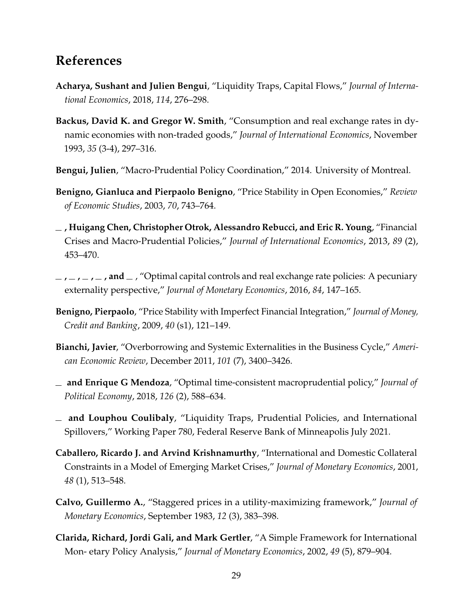# **References**

- <span id="page-29-2"></span>**Acharya, Sushant and Julien Bengui**, "Liquidity Traps, Capital Flows," *Journal of International Economics*, 2018, *114*, 276–298.
- <span id="page-29-10"></span>**Backus, David K. and Gregor W. Smith**, "Consumption and real exchange rates in dynamic economies with non-traded goods," *Journal of International Economics*, November 1993, *35* (3-4), 297–316.
- <span id="page-29-6"></span>**Bengui, Julien**, "Macro-Prudential Policy Coordination," 2014. University of Montreal.
- <span id="page-29-12"></span>**Benigno, Gianluca and Pierpaolo Benigno**, "Price Stability in Open Economies," *Review of Economic Studies*, 2003, *70*, 743–764.
- <span id="page-29-4"></span>**, Huigang Chen, Christopher Otrok, Alessandro Rebucci, and Eric R. Young**, "Financial Crises and Macro-Prudential Policies," *Journal of International Economics*, 2013, *89* (2), 453–470.
- <span id="page-29-5"></span> $\lambda$ ,  $\lambda$ ,  $\lambda$ ,  $\lambda$ ,  $\lambda$ , and  $\lambda$ , "Optimal capital controls and real exchange rate policies: A pecuniary externality perspective," *Journal of Monetary Economics*, 2016, *84*, 147–165.
- <span id="page-29-11"></span>**Benigno, Pierpaolo**, "Price Stability with Imperfect Financial Integration," *Journal of Money, Credit and Banking*, 2009, *40* (s1), 121–149.
- <span id="page-29-0"></span>**Bianchi, Javier**, "Overborrowing and Systemic Externalities in the Business Cycle," *American Economic Review*, December 2011, *101* (7), 3400–3426.
- <span id="page-29-7"></span>**and Enrique G Mendoza**, "Optimal time-consistent macroprudential policy," *Journal of Political Economy*, 2018, *126* (2), 588–634.
- <span id="page-29-3"></span>**and Louphou Coulibaly**, "Liquidity Traps, Prudential Policies, and International Spillovers," Working Paper 780, Federal Reserve Bank of Minneapolis July 2021.
- <span id="page-29-1"></span>**Caballero, Ricardo J. and Arvind Krishnamurthy**, "International and Domestic Collateral Constraints in a Model of Emerging Market Crises," *Journal of Monetary Economics*, 2001, *48* (1), 513–548.
- <span id="page-29-9"></span>**Calvo, Guillermo A.**, "Staggered prices in a utility-maximizing framework," *Journal of Monetary Economics*, September 1983, *12* (3), 383–398.
- <span id="page-29-8"></span>**Clarida, Richard, Jordi Gali, and Mark Gertler**, "A Simple Framework for International Mon- etary Policy Analysis," *Journal of Monetary Economics*, 2002, *49* (5), 879–904.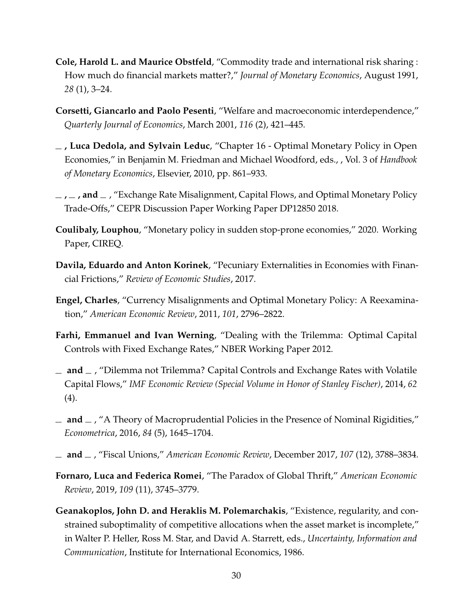- <span id="page-30-9"></span>**Cole, Harold L. and Maurice Obstfeld**, "Commodity trade and international risk sharing : How much do financial markets matter?," *Journal of Monetary Economics*, August 1991, *28* (1), 3–24.
- <span id="page-30-12"></span>**Corsetti, Giancarlo and Paolo Pesenti**, "Welfare and macroeconomic interdependence," *Quarterly Journal of Economics*, March 2001, *116* (2), 421–445.
- <span id="page-30-10"></span>**, Luca Dedola, and Sylvain Leduc**, "Chapter 16 - Optimal Monetary Policy in Open Economies," in Benjamin M. Friedman and Michael Woodford, eds., , Vol. 3 of *Handbook of Monetary Economics*, Elsevier, 2010, pp. 861–933.
- <span id="page-30-11"></span> $\mathcal{L}$ ,  $\mathcal{L}$ , **and**  $\mathcal{L}$ , "Exchange Rate Misalignment, Capital Flows, and Optimal Monetary Policy Trade-Offs," CEPR Discussion Paper Working Paper DP12850 2018.
- <span id="page-30-7"></span>**Coulibaly, Louphou**, "Monetary policy in sudden stop-prone economies," 2020. Working Paper, CIREQ.
- <span id="page-30-1"></span>**Davila, Eduardo and Anton Korinek**, "Pecuniary Externalities in Economies with Financial Frictions," *Review of Economic Studies*, 2017.
- <span id="page-30-8"></span>**Engel, Charles**, "Currency Misalignments and Optimal Monetary Policy: A Reexamination," *American Economic Review*, 2011, *101*, 2796–2822.
- <span id="page-30-2"></span>**Farhi, Emmanuel and Ivan Werning**, "Dealing with the Trilemma: Optimal Capital Controls with Fixed Exchange Rates," NBER Working Paper 2012.
- <span id="page-30-3"></span> $\equiv$  **and**  $\equiv$ , "Dilemma not Trilemma? Capital Controls and Exchange Rates with Volatile Capital Flows," *IMF Economic Review (Special Volume in Honor of Stanley Fischer)*, 2014, *62* (4).
- <span id="page-30-0"></span> $\Box$  and  $\Box$ , "A Theory of Macroprudential Policies in the Presence of Nominal Rigidities," *Econometrica*, 2016, *84* (5), 1645–1704.
- <span id="page-30-4"></span>**and** , "Fiscal Unions," *American Economic Review*, December 2017, *107* (12), 3788–3834.
- <span id="page-30-5"></span>**Fornaro, Luca and Federica Romei**, "The Paradox of Global Thrift," *American Economic Review*, 2019, *109* (11), 3745–3779.
- <span id="page-30-6"></span>**Geanakoplos, John D. and Heraklis M. Polemarchakis**, "Existence, regularity, and constrained suboptimality of competitive allocations when the asset market is incomplete," in Walter P. Heller, Ross M. Star, and David A. Starrett, eds., *Uncertainty, Information and Communication*, Institute for International Economics, 1986.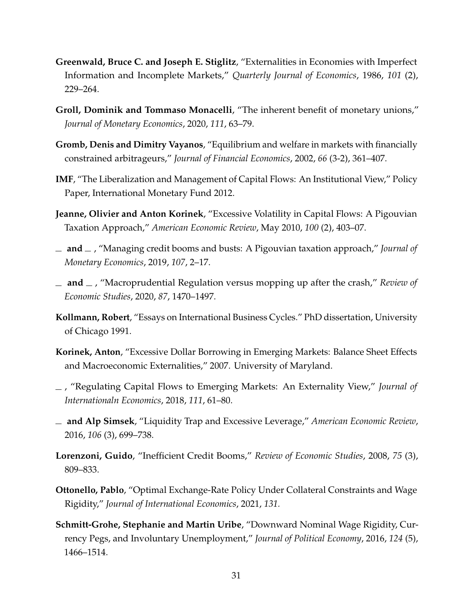- <span id="page-31-3"></span>**Greenwald, Bruce C. and Joseph E. Stiglitz**, "Externalities in Economies with Imperfect Information and Incomplete Markets," *Quarterly Journal of Economics*, 1986, *101* (2), 229–264.
- <span id="page-31-13"></span>**Groll, Dominik and Tommaso Monacelli**, "The inherent benefit of monetary unions," *Journal of Monetary Economics*, 2020, *111*, 63–79.
- <span id="page-31-4"></span>**Gromb, Denis and Dimitry Vayanos**, "Equilibrium and welfare in markets with financially constrained arbitrageurs," *Journal of Financial Economics*, 2002, *66* (3-2), 361–407.
- <span id="page-31-0"></span>**IMF**, "The Liberalization and Management of Capital Flows: An Institutional View," Policy Paper, International Monetary Fund 2012.
- <span id="page-31-8"></span>**Jeanne, Olivier and Anton Korinek**, "Excessive Volatility in Capital Flows: A Pigouvian Taxation Approach," *American Economic Review*, May 2010, *100* (2), 403–07.
- <span id="page-31-9"></span> $\equiv$  **and**  $\equiv$ , "Managing credit booms and busts: A Pigouvian taxation approach," *Journal of Monetary Economics*, 2019, *107*, 2–17.
- <span id="page-31-10"></span> $\Box$  **and**  $\Box$ , "Macroprudential Regulation versus mopping up after the crash," *Review of Economic Studies*, 2020, *87*, 1470–1497.
- <span id="page-31-12"></span>**Kollmann, Robert**, "Essays on International Business Cycles." PhD dissertation, University of Chicago 1991.
- <span id="page-31-6"></span>**Korinek, Anton**, "Excessive Dollar Borrowing in Emerging Markets: Balance Sheet Effects and Macroeconomic Externalities," 2007. University of Maryland.
- <span id="page-31-7"></span>, "Regulating Capital Flows to Emerging Markets: An Externality View," *Journal of Internationaln Economics*, 2018, *111*, 61–80.
- <span id="page-31-2"></span>**and Alp Simsek**, "Liquidity Trap and Excessive Leverage," *American Economic Review*, 2016, *106* (3), 699–738.
- <span id="page-31-5"></span>**Lorenzoni, Guido**, "Inefficient Credit Booms," *Review of Economic Studies*, 2008, *75* (3), 809–833.
- <span id="page-31-11"></span>**Ottonello, Pablo**, "Optimal Exchange-Rate Policy Under Collateral Constraints and Wage Rigidity," *Journal of International Economics*, 2021, *131.*
- <span id="page-31-1"></span>**Schmitt-Grohe, Stephanie and Martin Uribe**, "Downward Nominal Wage Rigidity, Currency Pegs, and Involuntary Unemployment," *Journal of Political Economy*, 2016, *124* (5), 1466–1514.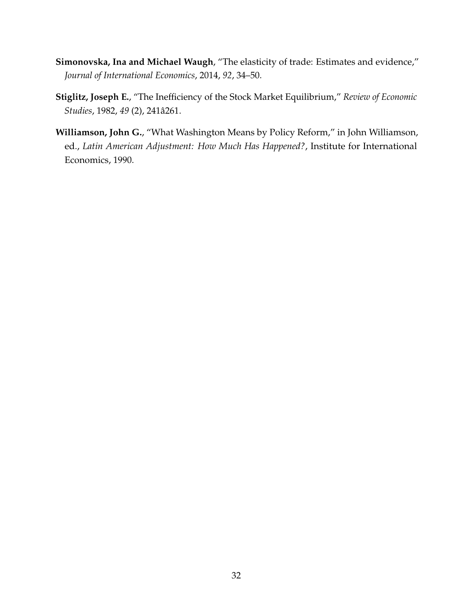- <span id="page-32-2"></span>**Simonovska, Ina and Michael Waugh**, "The elasticity of trade: Estimates and evidence," *Journal of International Economics*, 2014, *92*, 34–50.
- <span id="page-32-1"></span>**Stiglitz, Joseph E.**, "The Inefficiency of the Stock Market Equilibrium," *Review of Economic Studies*, 1982, *49* (2), 241a261. ˆ
- <span id="page-32-0"></span>**Williamson, John G.**, "What Washington Means by Policy Reform," in John Williamson, ed., *Latin American Adjustment: How Much Has Happened?*, Institute for International Economics, 1990.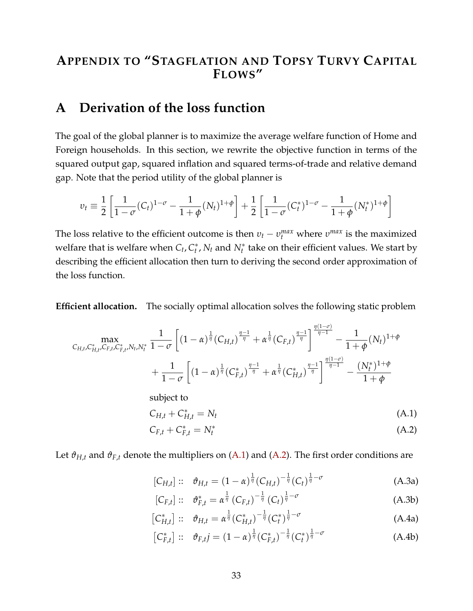# **APPENDIX TO "STAGFLATION AND TOPSY TURVY CAPITAL FLOWS"**

# <span id="page-33-0"></span>**A Derivation of the loss function**

The goal of the global planner is to maximize the average welfare function of Home and Foreign households. In this section, we rewrite the objective function in terms of the squared output gap, squared inflation and squared terms-of-trade and relative demand gap. Note that the period utility of the global planner is

$$
v_t \equiv \frac{1}{2} \left[ \frac{1}{1 - \sigma} (C_t)^{1 - \sigma} - \frac{1}{1 + \phi} (N_t)^{1 + \phi} \right] + \frac{1}{2} \left[ \frac{1}{1 - \sigma} (C_t^*)^{1 - \sigma} - \frac{1}{1 + \phi} (N_t^*)^{1 + \phi} \right]
$$

The loss relative to the efficient outcome is then  $v_t - v_t^{max}$  where  $v^{max}$  is the maximized welfare that is welfare when *C<sup>t</sup>* , *C* ∗  $t<sub>t</sub><sup>*</sup>$ , *N*<sub>t</sub> and *N*<sub>t</sub><sup>\*</sup> take on their efficient values. We start by describing the efficient allocation then turn to deriving the second order approximation of the loss function.

**Efficient allocation.** The socially optimal allocation solves the following static problem

$$
C_{H,t}, C_{H,t}^{*}, C_{F,t}^{*}, N_{t}, N_{t}^{*} \frac{1}{1-\sigma} \left[ (1-\alpha)^{\frac{1}{\eta}} (C_{H,t})^{\frac{\eta-1}{\eta}} + \alpha^{\frac{1}{\eta}} (C_{F,t})^{\frac{\eta-1}{\eta}} \right]^{\frac{\eta(1-\sigma)}{\eta-1}} - \frac{1}{1+\phi} (N_{t})^{1+\phi} + \frac{1}{1-\sigma} \left[ (1-\alpha)^{\frac{1}{\eta}} (C_{F,t}^{*})^{\frac{\eta-1}{\eta}} + \alpha^{\frac{1}{\eta}} (C_{H,t}^{*})^{\frac{\eta-1}{\eta}} \right]^{\frac{\eta(1-\sigma)}{\eta-1}} - \frac{(N_{t}^{*})^{1+\phi}}{1+\phi}
$$

subject to

$$
C_{H,t} + C_{H,t}^* = N_t \tag{A.1}
$$

<span id="page-33-2"></span><span id="page-33-1"></span>
$$
C_{F,t} + C_{F,t}^* = N_t^* \tag{A.2}
$$

Let  $\vartheta_{H,t}$  and  $\vartheta_{F,t}$  denote the multipliers on [\(A.1\)](#page-33-1) and [\(A.2\)](#page-33-2). The first order conditions are

$$
[C_{H,t}] :: \vartheta_{H,t} = (1 - \alpha)^{\frac{1}{\eta}} (C_{H,t})^{-\frac{1}{\eta}} (C_t)^{\frac{1}{\eta} - \sigma}
$$
 (A.3a)

<span id="page-33-5"></span><span id="page-33-4"></span><span id="page-33-3"></span>
$$
[C_{F,t}] :: \vartheta_{F,t}^* = \alpha^{\frac{1}{\eta}} (C_{F,t})^{-\frac{1}{\eta}} (C_t)^{\frac{1}{\eta}-\sigma}
$$
 (A.3b)

$$
\left[C_{H,t}^{*}\right] :: \vartheta_{H,t} = \alpha^{\frac{1}{\eta}} \left(C_{H,t}^{*}\right)^{-\frac{1}{\eta}} \left(C_{t}^{*}\right)^{\frac{1}{\eta}-\sigma}
$$
\n(A.4a)

<span id="page-33-6"></span>
$$
\left[C_{F,t}^{*}\right] :: \vartheta_{F,t}j = (1-\alpha)^{\frac{1}{\eta}}(C_{F,t}^{*})^{-\frac{1}{\eta}}(C_{t}^{*})^{\frac{1}{\eta}-\sigma}
$$
 (A.4b)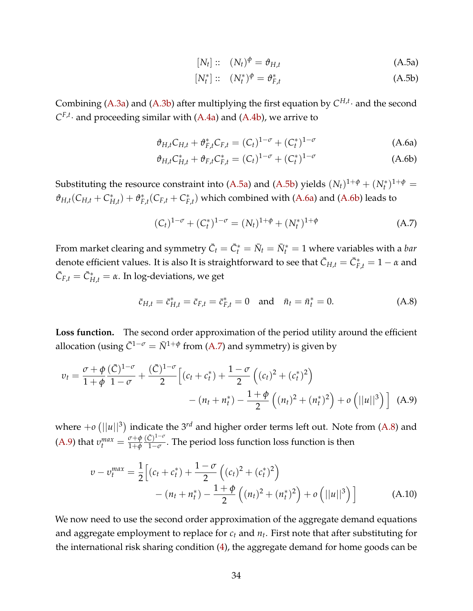<span id="page-34-1"></span><span id="page-34-0"></span>
$$
[N_t] :: (N_t)^{\phi} = \vartheta_{H,t}
$$
 (A.5a)

<span id="page-34-3"></span><span id="page-34-2"></span>
$$
[N_t^*] :: (N_t^*)^\phi = \vartheta_{F,t}^* \tag{A.5b}
$$

Combining [\(A.3a\)](#page-33-3) and [\(A.3b\)](#page-33-4) after multiplying the first equation by  $C^{H,t}$  and the second  $C^{F,t}$  and proceeding similar with [\(A.4a\)](#page-33-5) and [\(A.4b\)](#page-33-6), we arrive to

$$
\vartheta_{H,t} C_{H,t} + \vartheta_{F,t}^* C_{F,t} = (C_t)^{1-\sigma} + (C_t^*)^{1-\sigma}
$$
 (A.6a)

$$
\vartheta_{H,t} C_{H,t}^* + \vartheta_{F,t} C_{F,t}^* = (C_t)^{1-\sigma} + (C_t^*)^{1-\sigma}
$$
 (A.6b)

Substituting the resource constraint into [\(A.5a\)](#page-34-0) and [\(A.5b\)](#page-34-1) yields  $(N_t)^{1+\phi} + (N_t^*)^{1+\phi} =$  $\vartheta_{H,t}(C_{H,t}+C_f^*)$  $f_{H,t}^*$ ) +  $\vartheta_F^*$  $E_{F,t}^*(C_{F,t} + C_F^*)$  $F_{f,t}^*$ ) which combined with [\(A.6a\)](#page-34-2) and [\(A.6b\)](#page-34-3) leads to

<span id="page-34-5"></span><span id="page-34-4"></span>
$$
(Ct)1-\sigma + (Ct*)1-\sigma = (Nt)1+\phi + (Nt*)1+\phi
$$
 (A.7)

From market clearing and symmetry  $\bar{C}_t = \bar{C}_t^* = \bar{N}_t = \bar{N}_t^* = 1$  where variables with a *bar* denote efficient values. It is also It is straightforward to see that  $\bar{C}_{H,t} = \bar{C}_{F,t}^* = 1-\alpha$  and  $\bar{C}_{F,t} = \bar{C}_{H,t}^* = \alpha$ . In log-deviations, we get

<span id="page-34-6"></span>
$$
\bar{c}_{H,t} = \bar{c}_{H,t}^* = \bar{c}_{F,t} = \bar{c}_{F,t}^* = 0 \text{ and } \bar{n}_t = \bar{n}_t^* = 0.
$$
 (A.8)

Loss function. The second order approximation of the period utility around the efficient allocation (using  $\bar{C}^{1-\sigma} = \bar{N}^{1+\phi}$  from [\(A.7\)](#page-34-4) and symmetry) is given by

$$
v_t = \frac{\sigma + \phi}{1 + \phi} \frac{(\bar{C})^{1-\sigma}}{1-\sigma} + \frac{(\bar{C})^{1-\sigma}}{2} \Big[ (c_t + c_t^*) + \frac{1-\sigma}{2} \Big( (c_t)^2 + (c_t^*)^2 \Big) - (n_t + n_t^*) - \frac{1+\phi}{2} \Big( (n_t)^2 + (n_t^*)^2 \Big) + o\left( ||u||^3 \right) \Big]
$$
 (A.9)

where  $+o$   $(||u||^3)$  indicate the  $3^{rd}$  and higher order terms left out. Note from [\(A.8\)](#page-34-5) and [\(A.9\)](#page-34-6) that  $v_t^{max} = \frac{\sigma + \phi}{1 + \phi}$ 1+*ϕ*  $(\bar{C})^{1-\sigma}$ 1−*σ* . The period loss function loss function is then

<span id="page-34-7"></span>
$$
v - v_t^{max} = \frac{1}{2} \Big[ (c_t + c_t^*) + \frac{1 - \sigma}{2} \Big( (c_t)^2 + (c_t^*)^2 \Big) - (n_t + n_t^*) - \frac{1 + \phi}{2} \Big( (n_t)^2 + (n_t^*)^2 \Big) + o \Big( ||u||^3 \Big) \Big]
$$
(A.10)

We now need to use the second order approximation of the aggregate demand equations and aggregate employment to replace for *c<sup>t</sup>* and *n<sup>t</sup>* . First note that after substituting for the international risk sharing condition [\(4\)](#page-8-1), the aggregate demand for home goods can be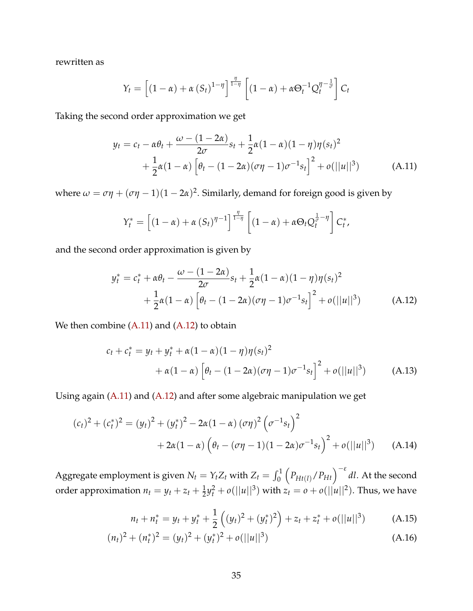rewritten as

$$
Y_t = \left[ \left(1 - \alpha\right) + \alpha \left(S_t\right)^{1 - \eta} \right]^{\frac{\eta}{1 - \eta}} \left[ \left(1 - \alpha\right) + \alpha \Theta_t^{-1} Q_t^{\eta - \frac{1}{\sigma}} \right] C_t
$$

Taking the second order approximation we get

$$
y_t = c_t - \alpha \theta_t + \frac{\omega - (1 - 2\alpha)}{2\sigma} s_t + \frac{1}{2}\alpha (1 - \alpha)(1 - \eta)\eta (s_t)^2
$$
  
+ 
$$
\frac{1}{2}\alpha (1 - \alpha) \left[ \theta_t - (1 - 2\alpha)(\sigma \eta - 1)\sigma^{-1} s_t \right]^2 + o(||u||^3)
$$
(A.11)

where  $\omega = \sigma \eta + (\sigma \eta - 1)(1 - 2\alpha)^2$ . Similarly, demand for foreign good is given by

<span id="page-35-1"></span><span id="page-35-0"></span>
$$
Y_t^* = \left[ (1 - \alpha) + \alpha (S_t)^{\eta - 1} \right]^{\frac{\eta}{1 - \eta}} \left[ (1 - \alpha) + \alpha \Theta_t Q_t^{\frac{1}{\sigma} - \eta} \right] C_t^*,
$$

and the second order approximation is given by

$$
y_t^* = c_t^* + \alpha \theta_t - \frac{\omega - (1 - 2\alpha)}{2\sigma} s_t + \frac{1}{2}\alpha (1 - \alpha)(1 - \eta)\eta(s_t)^2
$$
  
+ 
$$
\frac{1}{2}\alpha (1 - \alpha) \left[ \theta_t - (1 - 2\alpha)(\sigma \eta - 1)\sigma^{-1} s_t \right]^2 + o(||u||^3)
$$
(A.12)

We then combine  $(A.11)$  and  $(A.12)$  to obtain

<span id="page-35-2"></span>
$$
c_{t} + c_{t}^{*} = y_{t} + y_{t}^{*} + \alpha (1 - \alpha)(1 - \eta)\eta(s_{t})^{2}
$$
  
+ 
$$
\alpha (1 - \alpha) \left[ \theta_{t} - (1 - 2\alpha)(\sigma\eta - 1)\sigma^{-1}s_{t} \right]^{2} + o(||u||^{3})
$$
 (A.13)

Using again [\(A.11\)](#page-35-0) and [\(A.12\)](#page-35-1) and after some algebraic manipulation we get

$$
(c_t)^2 + (c_t^*)^2 = (y_t)^2 + (y_t^*)^2 - 2\alpha(1-\alpha)(\sigma\eta)^2 (\sigma^{-1}s_t)^2
$$
  
+ 2\alpha(1-\alpha) (\theta\_t - (\sigma\eta - 1)(1-2\alpha)\sigma^{-1}s\_t)^2 + o(||u||^3) (A.14)

Aggregate employment is given  $N_t = Y_t Z_t$  with  $Z_t = \int_0^1$  $\left(P_{Ht(l)}/P_{Ht}\right)^{-\varepsilon}$ *dl*. At the second order approximation  $n_t = y_t + z_t + \frac{1}{2}y_t^2 + o(||u||^3)$  with  $z_t = o + o(||u||^2)$ . Thus, we have

<span id="page-35-5"></span><span id="page-35-4"></span><span id="page-35-3"></span>
$$
n_t + n_t^* = y_t + y_t^* + \frac{1}{2} \left( (y_t)^2 + (y_t^*)^2 \right) + z_t + z_t^* + o(||u||^3)
$$
 (A.15)

$$
(n_t)^2 + (n_t^*)^2 = (y_t)^2 + (y_t^*)^2 + o(||u||^3)
$$
\n(A.16)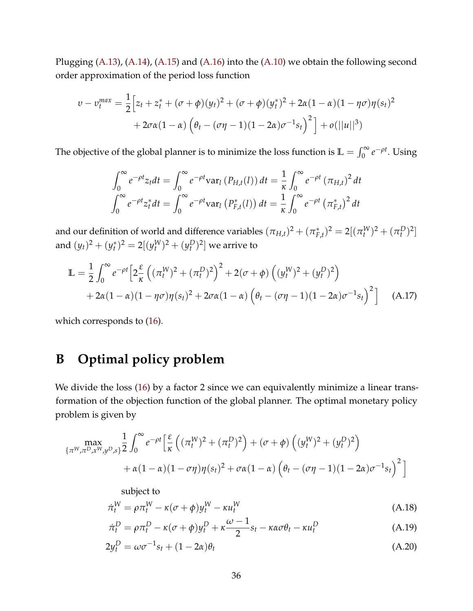Plugging [\(A.13\)](#page-35-2), [\(A.14\)](#page-35-3), [\(A.15\)](#page-35-4) and [\(A.16\)](#page-35-5) into the [\(A.10\)](#page-34-7) we obtain the following second order approximation of the period loss function

$$
v - v_t^{max} = \frac{1}{2} \Big[ z_t + z_t^* + (\sigma + \phi)(y_t)^2 + (\sigma + \phi)(y_t^*)^2 + 2\alpha (1 - \alpha)(1 - \eta \sigma) \eta (s_t)^2
$$
  
+ 2\sigma\alpha (1 - \alpha) (\theta\_t - (\sigma\eta - 1)(1 - 2\alpha)\sigma^{-1} s\_t)^2 + o(||u||^3)

The objective of the global planner is to minimize the loss function is  $\mathbb{L} = \int_0^\infty e^{-\rho t}$ . Using

$$
\int_0^{\infty} e^{-\rho t} z_t dt = \int_0^{\infty} e^{-\rho t} \text{var}_l (P_{H,t}(l)) dt = \frac{1}{\kappa} \int_0^{\infty} e^{-\rho t} (\pi_{H,t})^2 dt
$$
  

$$
\int_0^{\infty} e^{-\rho t} z_t^* dt = \int_0^{\infty} e^{-\rho t} \text{var}_l (P_{F,t}^*(l)) dt = \frac{1}{\kappa} \int_0^{\infty} e^{-\rho t} (\pi_{F,t}^*)^2 dt
$$

and our definition of world and difference variables  $(\pi_{H,t})^2 + (\pi_F^*)^2$  $\int_{F,t}^{*}$ <sup>2</sup> = 2[( $\pi_t^W$ )<sup>2</sup> + ( $\pi_t^D$ )<sup>2</sup>] and  $(y_t)^2 + (y_t^*)$  $(t_t^*)^2 = 2[(y_t^W)^2 + (y_t^D)^2]$  we arrive to

$$
\mathbb{L} = \frac{1}{2} \int_0^{\infty} e^{-\rho t} \left[ 2 \frac{\varepsilon}{\kappa} \left( (\pi_t^W)^2 + (\pi_t^D)^2 \right)^2 + 2(\sigma + \phi) \left( (y_t^W)^2 + (y_t^D)^2 \right) + 2\alpha (1 - \alpha) (1 - \eta \sigma) \eta (s_t)^2 + 2\sigma \alpha (1 - \alpha) \left( \theta_t - (\sigma \eta - 1)(1 - 2\alpha) \sigma^{-1} s_t \right)^2 \right] \tag{A.17}
$$

which corresponds to  $(16)$ .

# **B Optimal policy problem**

We divide the loss [\(16\)](#page-12-2) by a factor 2 since we can equivalently minimize a linear transformation of the objection function of the global planner. The optimal monetary policy problem is given by

$$
\max_{\{\pi^W,\pi^D,x^W,y^D,s\}} \frac{1}{2} \int_0^\infty e^{-\rho t} \left[ \frac{\varepsilon}{\kappa} \left( (\pi_t^W)^2 + (\pi_t^D)^2 \right) + (\sigma + \phi) \left( (y_t^W)^2 + (y_t^D)^2 \right) + \alpha (1-\alpha)(1-\sigma\eta)\eta(s_t)^2 + \sigma\alpha(1-\alpha) \left( \theta_t - (\sigma\eta - 1)(1-2\alpha)\sigma^{-1}s_t \right)^2 \right]
$$

<span id="page-36-2"></span><span id="page-36-1"></span><span id="page-36-0"></span>subject to

$$
\dot{\pi}_t^W = \rho \pi_t^W - \kappa (\sigma + \phi) y_t^W - \kappa u_t^W \tag{A.18}
$$

$$
\dot{\pi}_t^D = \rho \pi_t^D - \kappa (\sigma + \phi) y_t^D + \kappa \frac{\omega - 1}{2} s_t - \kappa \alpha \sigma \theta_t - \kappa u_t^D \tag{A.19}
$$

$$
2y_t^D = \omega \sigma^{-1} s_t + (1 - 2\alpha)\theta_t \tag{A.20}
$$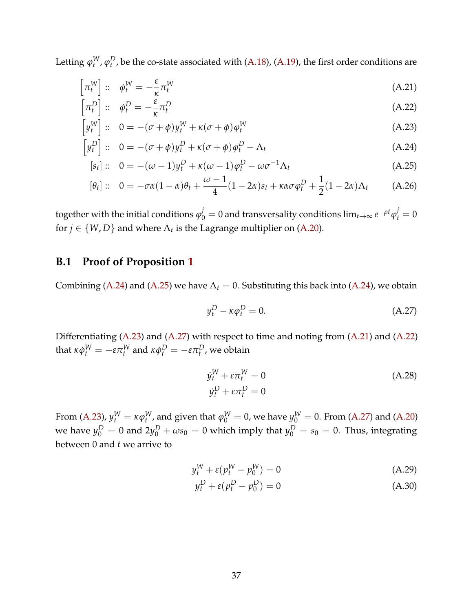Letting  $\varphi_t^W$ ,  $\varphi_t^D$ , be the co-state associated with [\(A.18\)](#page-36-1), [\(A.19\)](#page-36-2), the first order conditions are

$$
\left[\pi_t^W\right] :: \dot{\varphi}_t^W = -\frac{\varepsilon}{\kappa} \pi_t^W \tag{A.21}
$$

$$
\left[\pi_t^D\right] :: \dot{\varphi}_t^D = -\frac{\varepsilon}{\kappa} \pi_t^D \tag{A.22}
$$

$$
\left[y_t^W\right] :: \quad 0 = -(\sigma + \phi)y_t^W + \kappa(\sigma + \phi)\phi_t^W \tag{A.23}
$$

$$
\[y_t^D\]::\quad 0 = -(\sigma + \phi)y_t^D + \kappa(\sigma + \phi)\phi_t^D - \Lambda_t \tag{A.24}
$$

$$
[s_t] :: 0 = -(\omega - 1)y_t^D + \kappa(\omega - 1)\varphi_t^D - \omega\sigma^{-1}\Lambda_t
$$
 (A.25)

$$
[\theta_t] :: 0 = -\sigma\alpha(1-\alpha)\theta_t + \frac{\omega - 1}{4}(1 - 2\alpha)s_t + \kappa\alpha\sigma\varphi_t^D + \frac{1}{2}(1 - 2\alpha)\Lambda_t \tag{A.26}
$$

 $\log$ ether with the initial conditions  $\varphi^j_0 = 0$  and transversality conditions  $\lim_{t\to\infty}e^{-\rho t}\varphi^j_t = 0$ for  $j \in \{W, D\}$  and where  $\Lambda_t$  is the Lagrange multiplier on [\(A.20\)](#page-36-0).

## <span id="page-37-0"></span>**B.1 Proof of Proposition [1](#page-13-4)**

Combining [\(A.24\)](#page-37-1) and [\(A.25\)](#page-37-2) we have  $\Lambda_t = 0$ . Substituting this back into (A.24), we obtain

<span id="page-37-8"></span><span id="page-37-6"></span><span id="page-37-5"></span><span id="page-37-4"></span><span id="page-37-3"></span><span id="page-37-2"></span><span id="page-37-1"></span>
$$
y_t^D - \kappa \varphi_t^D = 0. \tag{A.27}
$$

Differentiating [\(A.23\)](#page-37-3) and [\(A.27\)](#page-37-4) with respect to time and noting from [\(A.21\)](#page-37-5) and [\(A.22\)](#page-37-6)  ${\rm th}$ at  $\kappa \dot{\phi}^W_t = -\varepsilon \pi^W_t$  and  $\kappa \dot{\phi}^D_t = -\varepsilon \pi^D_t$ , we obtain

<span id="page-37-7"></span>
$$
\dot{y}_t^W + \varepsilon \pi_t^W = 0
$$
\n
$$
\dot{y}_t^D + \varepsilon \pi_t^D = 0
$$
\n(A.28)

From [\(A.23\)](#page-37-3),  $y_t^W = \kappa \varphi_t^W$ , and given that  $\varphi_0^W = 0$ , we have  $y_0^W = 0$ . From [\(A.27\)](#page-37-4) and [\(A.20\)](#page-36-0) we have  $y_0^D = 0$  and  $2y_0^D + \omega s_0 = 0$  which imply that  $y_0^D = s_0 = 0$ . Thus, integrating between 0 and *t* we arrive to

$$
y_t^W + \varepsilon (p_t^W - p_0^W) = 0 \tag{A.29}
$$

$$
y_t^D + \varepsilon (p_t^D - p_0^D) = 0 \tag{A.30}
$$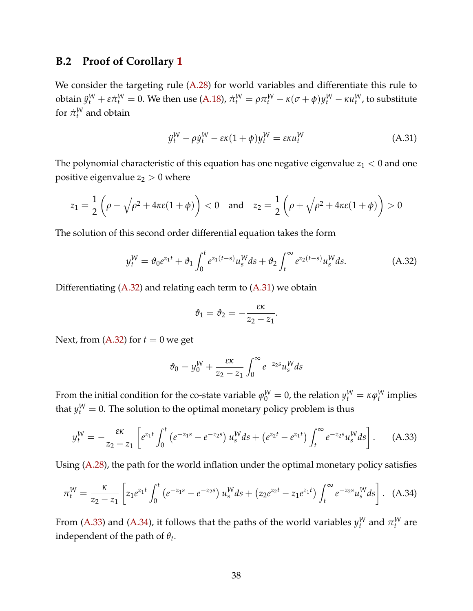## <span id="page-38-0"></span>**B.2 Proof of Corollary [1](#page-13-5)**

We consider the targeting rule [\(A.28\)](#page-37-7) for world variables and differentiate this rule to obtain  $\ddot{y}^W_t+\varepsilon\dot{\pi}^W_t=0.$  We then use [\(A.18\)](#page-36-1),  $\dot{\pi}^W_t=\rho\pi^W_t-\kappa(\sigma+\phi)y^W_t-\kappa u^W_t$ , to substitute for  $\pi_t^W$  and obtain

<span id="page-38-2"></span>
$$
\ddot{y}_t^W - \rho \dot{y}_t^W - \varepsilon \kappa (1 + \phi) y_t^W = \varepsilon \kappa u_t^W \tag{A.31}
$$

The polynomial characteristic of this equation has one negative eigenvalue  $z_1 < 0$  and one positive eigenvalue  $z_2 > 0$  where

$$
z_1 = \frac{1}{2}\left(\rho - \sqrt{\rho^2 + 4\kappa\varepsilon(1+\phi)}\right) < 0 \quad \text{and} \quad z_2 = \frac{1}{2}\left(\rho + \sqrt{\rho^2 + 4\kappa\varepsilon(1+\phi)}\right) > 0
$$

The solution of this second order differential equation takes the form

$$
y_t^W = \vartheta_0 e^{z_1 t} + \vartheta_1 \int_0^t e^{z_1(t-s)} u_s^W ds + \vartheta_2 \int_t^\infty e^{z_2(t-s)} u_s^W ds. \tag{A.32}
$$

Differentiating [\(A.32\)](#page-38-1) and relating each term to [\(A.31\)](#page-38-2) we obtain

<span id="page-38-3"></span><span id="page-38-1"></span>
$$
\vartheta_1=\vartheta_2=-\frac{\varepsilon\kappa}{z_2-z_1}.
$$

Next, from  $(A.32)$  for  $t = 0$  we get

<span id="page-38-4"></span>
$$
\vartheta_0 = y_0^W + \frac{\varepsilon \kappa}{z_2 - z_1} \int_0^\infty e^{-z_2 s} u_s^W ds
$$

From the initial condition for the co-state variable  $\varphi_0^W=0$ , the relation  $y_t^W=\kappa \varphi_t^W$  implies that  $y_t^W = 0$ . The solution to the optimal monetary policy problem is thus

$$
y_t^W = -\frac{\varepsilon \kappa}{z_2 - z_1} \left[ e^{z_1 t} \int_0^t \left( e^{-z_1 s} - e^{-z_2 s} \right) u_s^W ds + \left( e^{z_2 t} - e^{z_1 t} \right) \int_t^\infty e^{-z_2 s} u_s^W ds \right]. \tag{A.33}
$$

Using [\(A.28\)](#page-37-7), the path for the world inflation under the optimal monetary policy satisfies

$$
\pi_t^W = \frac{\kappa}{z_2 - z_1} \left[ z_1 e^{z_1 t} \int_0^t \left( e^{-z_1 s} - e^{-z_2 s} \right) u_s^W ds + \left( z_2 e^{z_2 t} - z_1 e^{z_1 t} \right) \int_t^\infty e^{-z_2 s} u_s^W ds \right]. \tag{A.34}
$$

From [\(A.33\)](#page-38-3) and [\(A.34\)](#page-38-4), it follows that the paths of the world variables  $y_t^W$  and  $\pi_t^W$  are independent of the path of *θ<sup>t</sup>* .